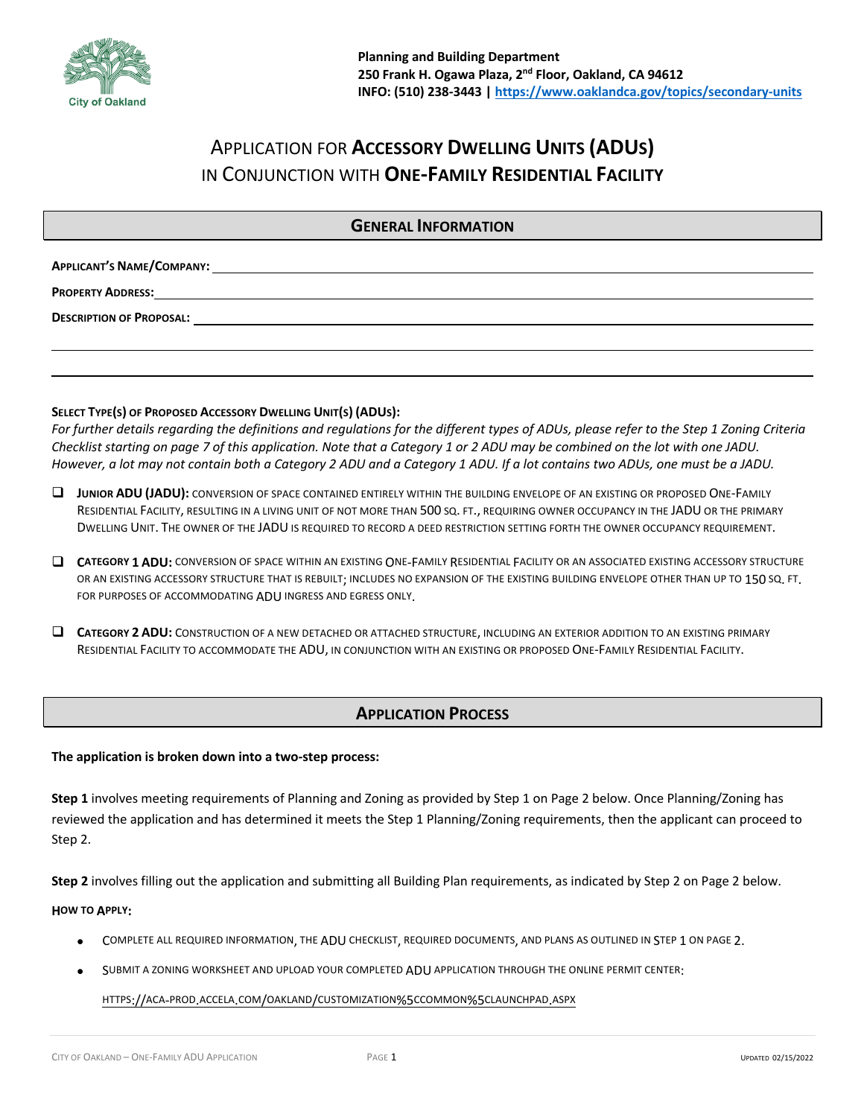

# APPLICATION FOR **ACCESSORY DWELLING UNITS (ADUS)** IN CONJUNCTION WITH **ONE-FAMILY RESIDENTIAL FACILITY**

# **GENERAL INFORMATION**

| <b>APPLICANT'S NAME/COMPANY:</b> |  |
|----------------------------------|--|
|----------------------------------|--|

**PROPERTY ADDRESS:**

**DESCRIPTION OF PROPOSAL:** 

### **SELECT TYPE(S) OF PROPOSED ACCESSORY DWELLING UNIT(S) (ADUS):**

*For further details regarding the definitions and regulations for the different types of ADUs, please refer to the Step 1 Zoning Criteria Checklist starting on page 7 of this application. Note that a Category 1 or 2 ADU may be combined on the lot with one JADU. However, a lot may not contain both a Category 2 ADU and a Category 1 ADU. If a lot contains two ADUs, one must be a JADU.*

- $\square$  JUNIOR ADU (JADU): CONVERSION OF SPACE CONTAINED ENTIRELY WITHIN THE BUILDING ENVELOPE OF AN EXISTING OR PROPOSED ONE-FAMILY RESIDENTIAL FACILITY, RESULTING IN A LIVING UNIT OF NOT MORE THAN 500 SQ. FT., REQUIRING OWNER OCCUPANCY IN THE JADU OR THE PRIMARY DWELLING UNIT. THE OWNER OF THE JADU IS REQUIRED TO RECORD A DEED RESTRICTION SETTING FORTH THE OWNER OCCUPANCY REQUIREMENT.
- $\Box$  **CATEGORY 1 ADU:** CONVERSION OF SPACE WITHIN AN EXISTING ONE-FAMILY RESIDENTIAL FACILITY OR AN ASSOCIATED EXISTING ACCESSORY STRUCTURE OR AN EXISTING ACCESSORY STRUCTURE THAT IS REBUILT; INCLUDES NO EXPANSION OF THE EXISTING BUILDING ENVELOPE OTHER THAN UP TO 150 SQ. FT. FOR PURPOSES OF ACCOMMODATING ADU INGRESS AND EGRESS ONLY.
- $\square$  **CATEGORY 2 ADU:** CONSTRUCTION OF A NEW DETACHED OR ATTACHED STRUCTURE, INCLUDING AN EXTERIOR ADDITION TO AN EXISTING PRIMARY RESIDENTIAL FACILITY TO ACCOMMODATE THE ADU, IN CONJUNCTION WITH AN EXISTING OR PROPOSED ONE-FAMILY RESIDENTIAL FACILITY.

# **APPLICATION PROCESS**

#### **The application is broken down into a two-step process:**

**Step 1** involves meeting requirements of Planning and Zoning as provided by Step 1 on Page 2 below. Once Planning/Zoning has reviewed the application and has determined it meets the Step 1 Planning/Zoning requirements, then the applicant can proceed to Step 2.

**Step 2** involves filling out the application and submitting all Building Plan requirements, as indicated by Step 2 on Page 2 below.

#### **HOW TO APPLY:**

- COMPLETE ALL REQUIRED INFORMATION, THE ADU CHECKLIST, REQUIRED DOCUMENTS, AND PLANS AS OUTLINED IN STEP 1 ON PAGE 2.
- SUBMIT A ZONING WORKSHEET AND UPLOAD YOUR COMPLETED ADU APPLICATION THROUGH THE ONLINE PERMIT CENTER:

HTTPS://ACA-PROD.ACCELA.COM/OAKLAND/CUSTOMIZATION%5CCOMMON%5CLAUNCHPAD.ASPX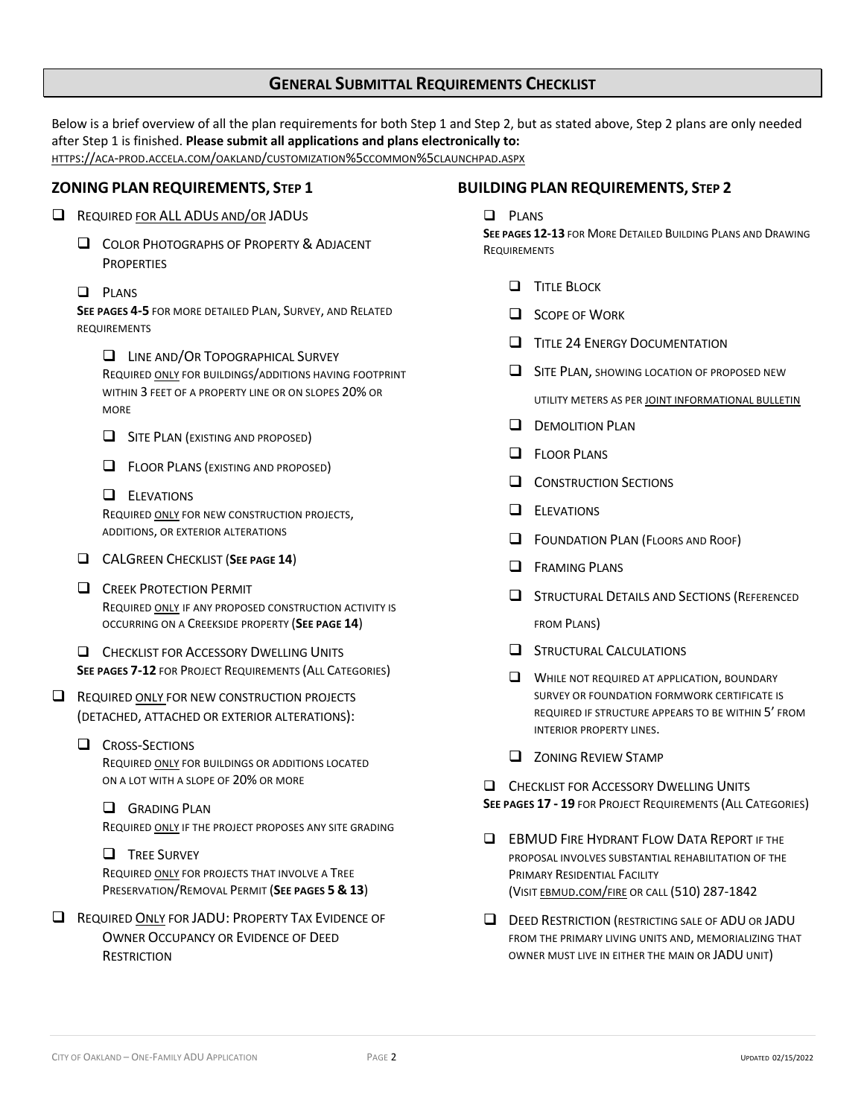# **GENERAL SUBMITTAL REQUIREMENTS CHECKLIST**

Below is a brief overview of all the plan requirements for both Step 1 and Step 2, but as stated above, Step 2 plans are only needed after Step 1 is finished. **Please submit all applications and plans electronically to:** HTTPS://ACA-PROD.ACCELA.COM/OAKLAND/CUSTOMIZATION%5CCOMMON%5CLAUNCHPAD.ASPX

### **ZONING PLAN REQUIREMENTS, STEP 1**

- $\Box$  REQUIRED FOR ALL ADUS AND/OR JADUS
	- **Q COLOR PHOTOGRAPHS OF PROPERTY & ADJACENT PROPERTIES**
	- $\Box$  PLANS

**SEE PAGES 4-5** FOR MORE DETAILED PLAN, SURVEY, AND RELATED REQUIREMENTS

**Q** LINE AND/OR TOPOGRAPHICAL SURVEY

REQUIRED ONLY FOR BUILDINGS/ADDITIONS HAVING FOOTPRINT WITHIN 3 FEET OF A PROPERTY LINE OR ON SLOPES 20% OR MORE

- $\Box$  SITE PLAN (EXISTING AND PROPOSED)
- **Q** FLOOR PLANS (EXISTING AND PROPOSED)

### $\Box$  ELEVATIONS

REQUIRED ONLY FOR NEW CONSTRUCTION PROJECTS, ADDITIONS, OR EXTERIOR ALTERATIONS

- **Q CALGREEN CHECKLIST (SEE PAGE 14)**
- **Q CREEK PROTECTION PERMIT** REQUIRED ONLY IF ANY PROPOSED CONSTRUCTION ACTIVITY IS OCCURRING ON A CREEKSIDE PROPERTY (**SEE PAGE 14**)

**Q CHECKLIST FOR ACCESSORY DWELLING UNITS SEE PAGES 7-12** FOR PROJECT REQUIREMENTS (ALL CATEGORIES)

REQUIRED ONLY FOR NEW CONSTRUCTION PROJECTS (DETACHED, ATTACHED OR EXTERIOR ALTERATIONS):

### **Q** CROSS-SECTIONS

REQUIRED ONLY FOR BUILDINGS OR ADDITIONS LOCATED ON A LOT WITH A SLOPE OF 20% OR MORE

### **Q** GRADING PLAN REQUIRED ONLY IF THE PROJECT PROPOSES ANY SITE GRADING

### **Q** TREE SURVEY

REQUIRED ONLY FOR PROJECTS THAT INVOLVE A TREE PRESERVATION/REMOVAL PERMIT (**SEE PAGES 5 & 13**)

**Q REQUIRED ONLY FOR JADU: PROPERTY TAX EVIDENCE OF** OWNER OCCUPANCY OR EVIDENCE OF DEED **RESTRICTION** 

### **BUILDING PLAN REQUIREMENTS, STEP 2**

#### **Q** PLANS

**SEE PAGES 12-13 FOR MORE DETAILED BUILDING PLANS AND DRAWING REQUIREMENTS** 

- **Q** TITLE BLOCK
- $\Box$  SCOPE OF WORK
- **Q** TITLE 24 ENERGY DOCUMENTATION
- **Q** SITE PLAN, SHOWING LOCATION OF PROPOSED NEW UTILITY METERS AS PER JOINT INFORMATIONAL BULLETIN
- $\Box$  DEMOLITION PLAN
- 
- $\Box$  FLOOR PLANS
- **Q** CONSTRUCTION SECTIONS
- $\Box$  ELEVATIONS
- $\Box$  FOUNDATION PLAN (FLOORS AND ROOF)
- $\Box$  FRAMING PLANS
- **Q STRUCTURAL DETAILS AND SECTIONS (REFERENCED** FROM PLANS)
- $\Box$  STRUCTURAL CALCULATIONS
- $\Box$  WHILE NOT REQUIRED AT APPLICATION, BOUNDARY SURVEY OR FOUNDATION FORMWORK CERTIFICATE IS REQUIRED IF STRUCTURE APPEARS TO BE WITHIN 5' FROM INTERIOR PROPERTY LINES.
- $\Box$  ZONING REVIEW STAMP

**Q CHECKLIST FOR ACCESSORY DWELLING UNITS SEE PAGES 17 - 19** FOR PROJECT REQUIREMENTS (ALL CATEGORIES)

- **Q EBMUD FIRE HYDRANT FLOW DATA REPORT IF THE** PROPOSAL INVOLVES SUBSTANTIAL REHABILITATION OF THE PRIMARY RESIDENTIAL FACILITY (VISIT EBMUD.COM/FIRE OR CALL (510) 287-1842
- $\Box$  DEED RESTRICTION (RESTRICTING SALE OF ADU OR JADU FROM THE PRIMARY LIVING UNITS AND, MEMORIALIZING THAT OWNER MUST LIVE IN EITHER THE MAIN OR JADU UNIT)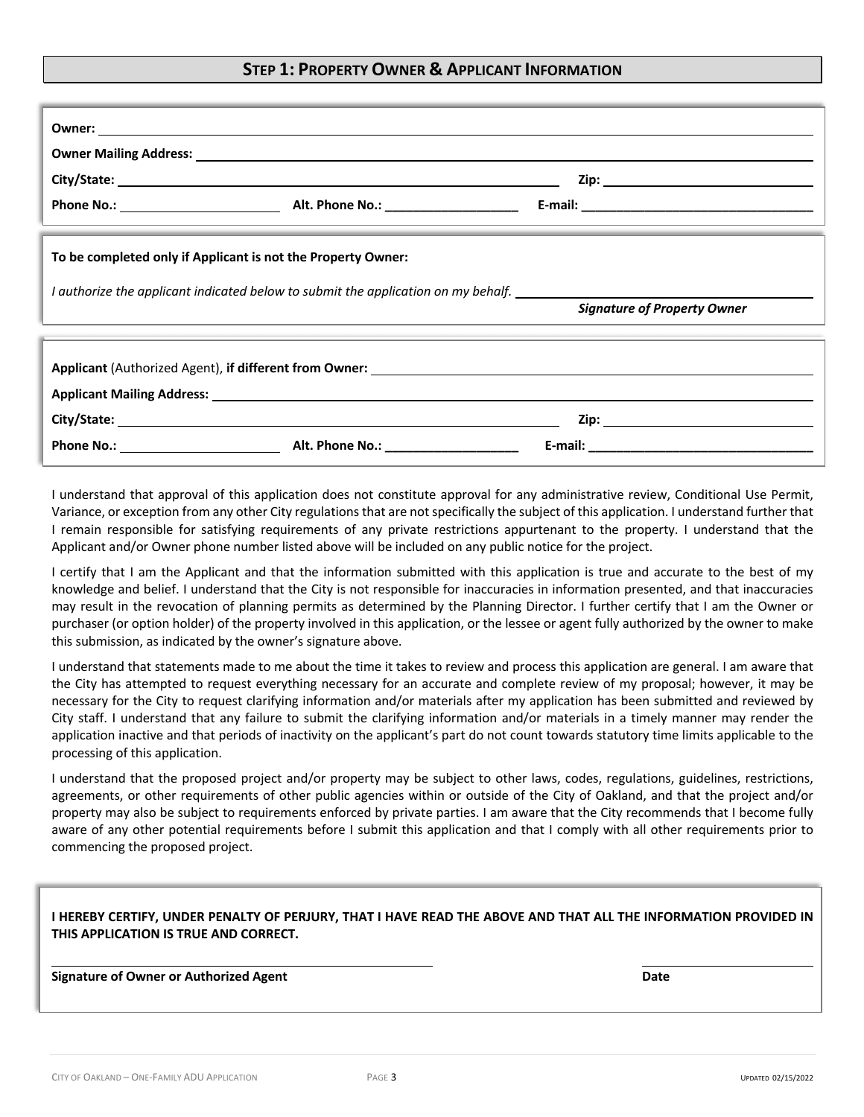# **STEP 1: PROPERTY OWNER & APPLICANT INFORMATION**

|                                                              |                                                                                   | the contract of the contract of the contract of the contract of the contract of the contract of the contract of                                                                                                                |  |  |
|--------------------------------------------------------------|-----------------------------------------------------------------------------------|--------------------------------------------------------------------------------------------------------------------------------------------------------------------------------------------------------------------------------|--|--|
| To be completed only if Applicant is not the Property Owner: |                                                                                   |                                                                                                                                                                                                                                |  |  |
|                                                              | I authorize the applicant indicated below to submit the application on my behalf. |                                                                                                                                                                                                                                |  |  |
|                                                              |                                                                                   | <b>Signature of Property Owner</b>                                                                                                                                                                                             |  |  |
|                                                              |                                                                                   |                                                                                                                                                                                                                                |  |  |
|                                                              |                                                                                   |                                                                                                                                                                                                                                |  |  |
|                                                              |                                                                                   | Zip: will be a series of the contract of the contract of the contract of the contract of the contract of the contract of the contract of the contract of the contract of the contract of the contract of the contract of the c |  |  |
|                                                              |                                                                                   |                                                                                                                                                                                                                                |  |  |

I understand that approval of this application does not constitute approval for any administrative review, Conditional Use Permit, Variance, or exception from any other City regulations that are not specifically the subject of this application. I understand further that I remain responsible for satisfying requirements of any private restrictions appurtenant to the property. I understand that the Applicant and/or Owner phone number listed above will be included on any public notice for the project.

I certify that I am the Applicant and that the information submitted with this application is true and accurate to the best of my knowledge and belief. I understand that the City is not responsible for inaccuracies in information presented, and that inaccuracies may result in the revocation of planning permits as determined by the Planning Director. I further certify that I am the Owner or purchaser (or option holder) of the property involved in this application, or the lessee or agent fully authorized by the owner to make this submission, as indicated by the owner's signature above.

I understand that statements made to me about the time it takes to review and process this application are general. I am aware that the City has attempted to request everything necessary for an accurate and complete review of my proposal; however, it may be necessary for the City to request clarifying information and/or materials after my application has been submitted and reviewed by City staff. I understand that any failure to submit the clarifying information and/or materials in a timely manner may render the application inactive and that periods of inactivity on the applicant's part do not count towards statutory time limits applicable to the processing of this application.

I understand that the proposed project and/or property may be subject to other laws, codes, regulations, guidelines, restrictions, agreements, or other requirements of other public agencies within or outside of the City of Oakland, and that the project and/or property may also be subject to requirements enforced by private parties. I am aware that the City recommends that I become fully aware of any other potential requirements before I submit this application and that I comply with all other requirements prior to commencing the proposed project.

## **I HEREBY CERTIFY, UNDER PENALTY OF PERJURY, THAT I HAVE READ THE ABOVE AND THAT ALL THE INFORMATION PROVIDED IN THIS APPLICATION IS TRUE AND CORRECT.**

**Signature of Owner or Authorized Agent Date**

Ï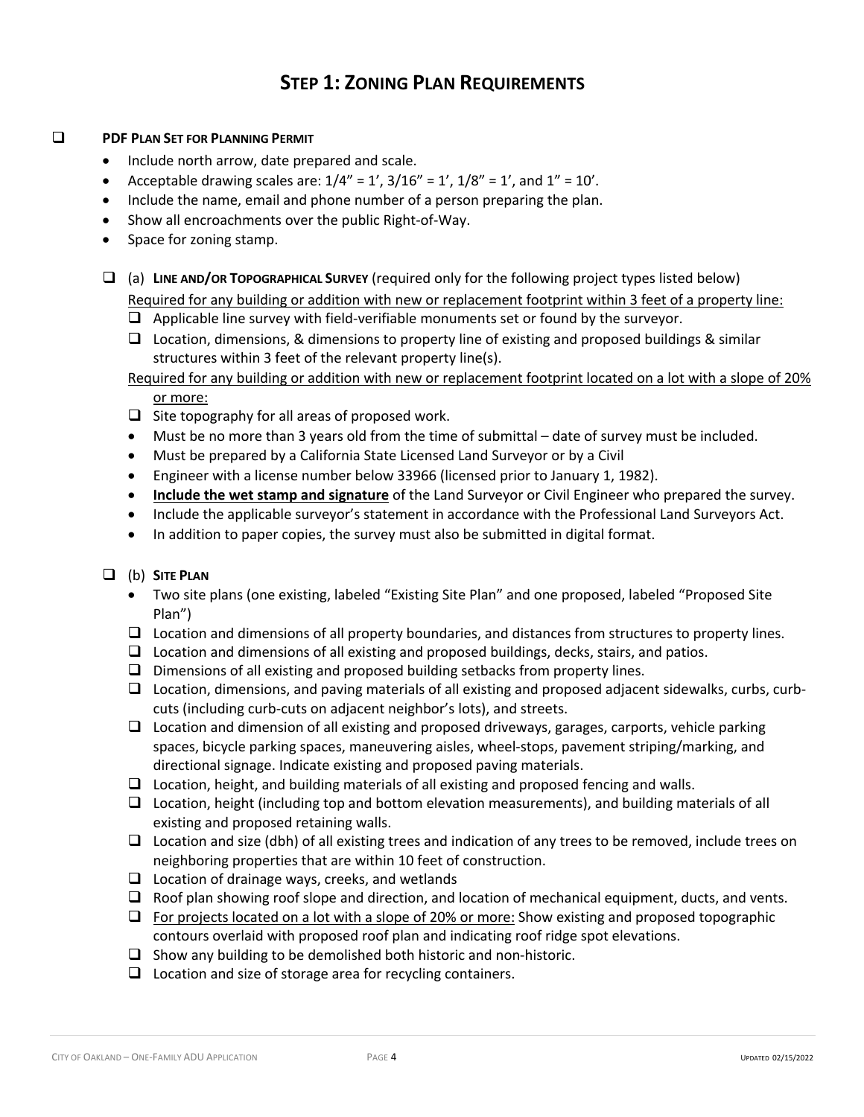# **STEP 1: ZONING PLAN REQUIREMENTS**

### **Q PDF PLAN SET FOR PLANNING PERMIT**

- Include north arrow, date prepared and scale.
- Acceptable drawing scales are:  $1/4'' = 1'$ ,  $3/16'' = 1'$ ,  $1/8'' = 1'$ , and  $1'' = 10'$ .
- Include the name, email and phone number of a person preparing the plan.
- Show all encroachments over the public Right-of-Way.
- Space for zoning stamp.
- q (a) **LINE AND/OR TOPOGRAPHICAL SURVEY** (required only for the following project types listed below) Required for any building or addition with new or replacement footprint within 3 feet of a property line:
	- $\Box$  Applicable line survey with field-verifiable monuments set or found by the surveyor.
	- $\Box$  Location, dimensions, & dimensions to property line of existing and proposed buildings & similar structures within 3 feet of the relevant property line(s).

## Required for any building or addition with new or replacement footprint located on a lot with a slope of 20% or more:

- $\Box$  Site topography for all areas of proposed work.
- Must be no more than 3 years old from the time of submittal date of survey must be included.
- Must be prepared by a California State Licensed Land Surveyor or by a Civil
- Engineer with a license number below 33966 (licensed prior to January 1, 1982).
- **Include the wet stamp and signature** of the Land Surveyor or Civil Engineer who prepared the survey.
- Include the applicable surveyor's statement in accordance with the Professional Land Surveyors Act.
- In addition to paper copies, the survey must also be submitted in digital format.

# q (b) **SITE PLAN**

- Two site plans (one existing, labeled "Existing Site Plan" and one proposed, labeled "Proposed Site Plan")
- $\Box$  Location and dimensions of all property boundaries, and distances from structures to property lines.
- $\Box$  Location and dimensions of all existing and proposed buildings, decks, stairs, and patios.
- $\Box$  Dimensions of all existing and proposed building setbacks from property lines.
- $\Box$  Location, dimensions, and paving materials of all existing and proposed adjacent sidewalks, curbs, curbcuts (including curb-cuts on adjacent neighbor's lots), and streets.
- $\Box$  Location and dimension of all existing and proposed driveways, garages, carports, vehicle parking spaces, bicycle parking spaces, maneuvering aisles, wheel-stops, pavement striping/marking, and directional signage. Indicate existing and proposed paving materials.
- $\Box$  Location, height, and building materials of all existing and proposed fencing and walls.
- $\Box$  Location, height (including top and bottom elevation measurements), and building materials of all existing and proposed retaining walls.
- $\Box$  Location and size (dbh) of all existing trees and indication of any trees to be removed, include trees on neighboring properties that are within 10 feet of construction.
- $\Box$  Location of drainage ways, creeks, and wetlands
- $\Box$  Roof plan showing roof slope and direction, and location of mechanical equipment, ducts, and vents.
- $\Box$  For projects located on a lot with a slope of 20% or more: Show existing and proposed topographic contours overlaid with proposed roof plan and indicating roof ridge spot elevations.
- $\Box$  Show any building to be demolished both historic and non-historic.
- $\Box$  Location and size of storage area for recycling containers.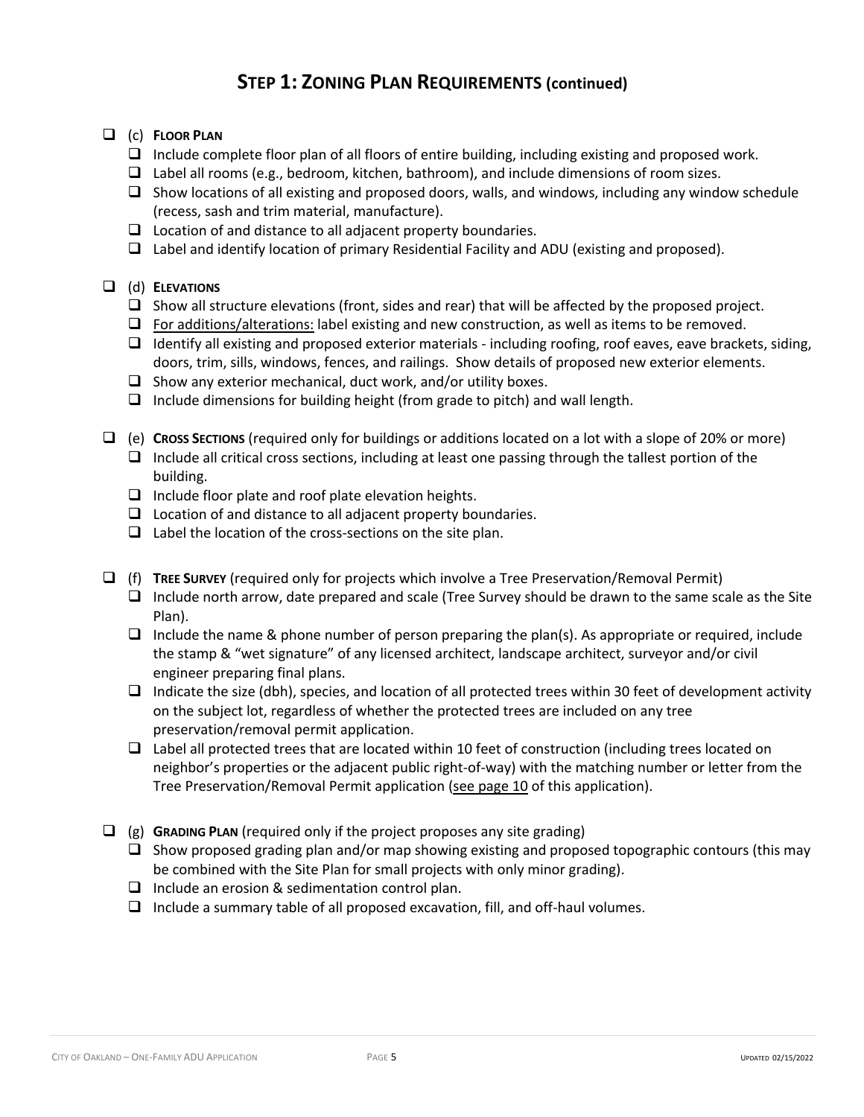# **STEP 1: ZONING PLAN REQUIREMENTS (continued)**

- q (c) **FLOOR PLAN**
	- $\Box$  Include complete floor plan of all floors of entire building, including existing and proposed work.
	- $\Box$  Label all rooms (e.g., bedroom, kitchen, bathroom), and include dimensions of room sizes.
	- $\Box$  Show locations of all existing and proposed doors, walls, and windows, including any window schedule (recess, sash and trim material, manufacture).
	- $\Box$  Location of and distance to all adjacent property boundaries.
	- $\Box$  Label and identify location of primary Residential Facility and ADU (existing and proposed).

# q (d) **ELEVATIONS**

- $\Box$  Show all structure elevations (front, sides and rear) that will be affected by the proposed project.
- $\Box$  For additions/alterations: label existing and new construction, as well as items to be removed.
- $\Box$  Identify all existing and proposed exterior materials including roofing, roof eaves, eave brackets, siding, doors, trim, sills, windows, fences, and railings. Show details of proposed new exterior elements.
- $\Box$  Show any exterior mechanical, duct work, and/or utility boxes.
- $\Box$  Include dimensions for building height (from grade to pitch) and wall length.
- q (e) **CROSS SECTIONS** (required only for buildings or additions located on a lot with a slope of 20% or more)  $\Box$  Include all critical cross sections, including at least one passing through the tallest portion of the building.
	- $\Box$  Include floor plate and roof plate elevation heights.
	- $\Box$  Location of and distance to all adjacent property boundaries.
	- $\Box$  Label the location of the cross-sections on the site plan.
- q (f) **TREE SURVEY** (required only for projects which involve a Tree Preservation/Removal Permit)  $\Box$  Include north arrow, date prepared and scale (Tree Survey should be drawn to the same scale as the Site Plan).
	- $\Box$  Include the name & phone number of person preparing the plan(s). As appropriate or required, include the stamp & "wet signature" of any licensed architect, landscape architect, surveyor and/or civil engineer preparing final plans.
	- $\Box$  Indicate the size (dbh), species, and location of all protected trees within 30 feet of development activity on the subject lot, regardless of whether the protected trees are included on any tree preservation/removal permit application.
	- $\Box$  Label all protected trees that are located within 10 feet of construction (including trees located on neighbor's properties or the adjacent public right-of-way) with the matching number or letter from the Tree Preservation/Removal Permit application (see page 10 of this application).
- $\Box$  (g) **GRADING PLAN** (required only if the project proposes any site grading)
	- $\Box$  Show proposed grading plan and/or map showing existing and proposed topographic contours (this may be combined with the Site Plan for small projects with only minor grading).
	- $\Box$  Include an erosion & sedimentation control plan.
	- $\Box$  Include a summary table of all proposed excavation, fill, and off-haul volumes.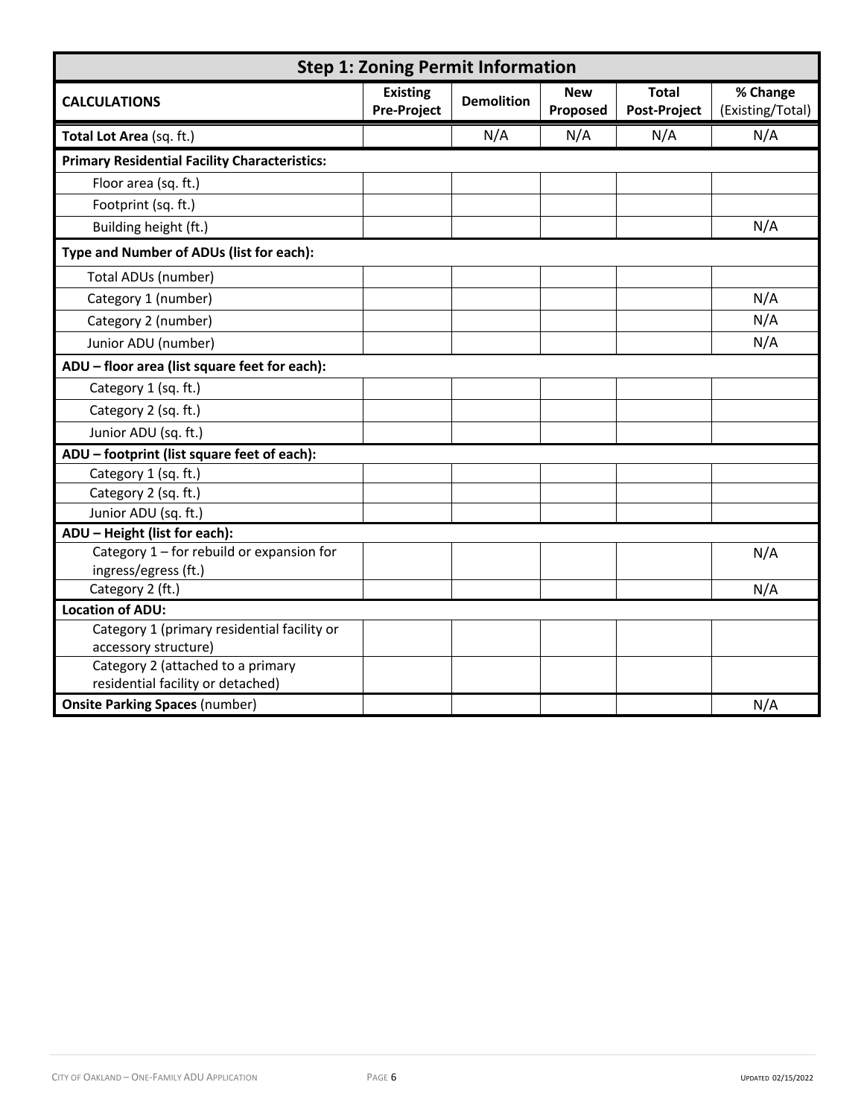| <b>Step 1: Zoning Permit Information</b>                  |                                       |                   |                        |                                     |                              |
|-----------------------------------------------------------|---------------------------------------|-------------------|------------------------|-------------------------------------|------------------------------|
| <b>CALCULATIONS</b>                                       | <b>Existing</b><br><b>Pre-Project</b> | <b>Demolition</b> | <b>New</b><br>Proposed | <b>Total</b><br><b>Post-Project</b> | % Change<br>(Existing/Total) |
| Total Lot Area (sq. ft.)                                  |                                       | N/A               | N/A                    | N/A                                 | N/A                          |
| <b>Primary Residential Facility Characteristics:</b>      |                                       |                   |                        |                                     |                              |
| Floor area (sq. ft.)                                      |                                       |                   |                        |                                     |                              |
| Footprint (sq. ft.)                                       |                                       |                   |                        |                                     |                              |
| Building height (ft.)                                     |                                       |                   |                        |                                     | N/A                          |
| Type and Number of ADUs (list for each):                  |                                       |                   |                        |                                     |                              |
| Total ADUs (number)                                       |                                       |                   |                        |                                     |                              |
| Category 1 (number)                                       |                                       |                   |                        |                                     | N/A                          |
| Category 2 (number)                                       |                                       |                   |                        |                                     | N/A                          |
| Junior ADU (number)                                       |                                       |                   |                        |                                     | N/A                          |
| ADU - floor area (list square feet for each):             |                                       |                   |                        |                                     |                              |
| Category 1 (sq. ft.)                                      |                                       |                   |                        |                                     |                              |
| Category 2 (sq. ft.)                                      |                                       |                   |                        |                                     |                              |
| Junior ADU (sq. ft.)                                      |                                       |                   |                        |                                     |                              |
| ADU - footprint (list square feet of each):               |                                       |                   |                        |                                     |                              |
| Category 1 (sq. ft.)                                      |                                       |                   |                        |                                     |                              |
| Category 2 (sq. ft.)                                      |                                       |                   |                        |                                     |                              |
| Junior ADU (sq. ft.)                                      |                                       |                   |                        |                                     |                              |
| ADU - Height (list for each):                             |                                       |                   |                        |                                     |                              |
| Category 1 - for rebuild or expansion for                 |                                       |                   |                        |                                     | N/A                          |
| ingress/egress (ft.)                                      |                                       |                   |                        |                                     |                              |
| Category 2 (ft.)                                          |                                       |                   |                        |                                     | N/A                          |
| <b>Location of ADU:</b>                                   |                                       |                   |                        |                                     |                              |
| Category 1 (primary residential facility or               |                                       |                   |                        |                                     |                              |
| accessory structure)<br>Category 2 (attached to a primary |                                       |                   |                        |                                     |                              |
| residential facility or detached)                         |                                       |                   |                        |                                     |                              |
| <b>Onsite Parking Spaces (number)</b>                     |                                       |                   |                        |                                     | N/A                          |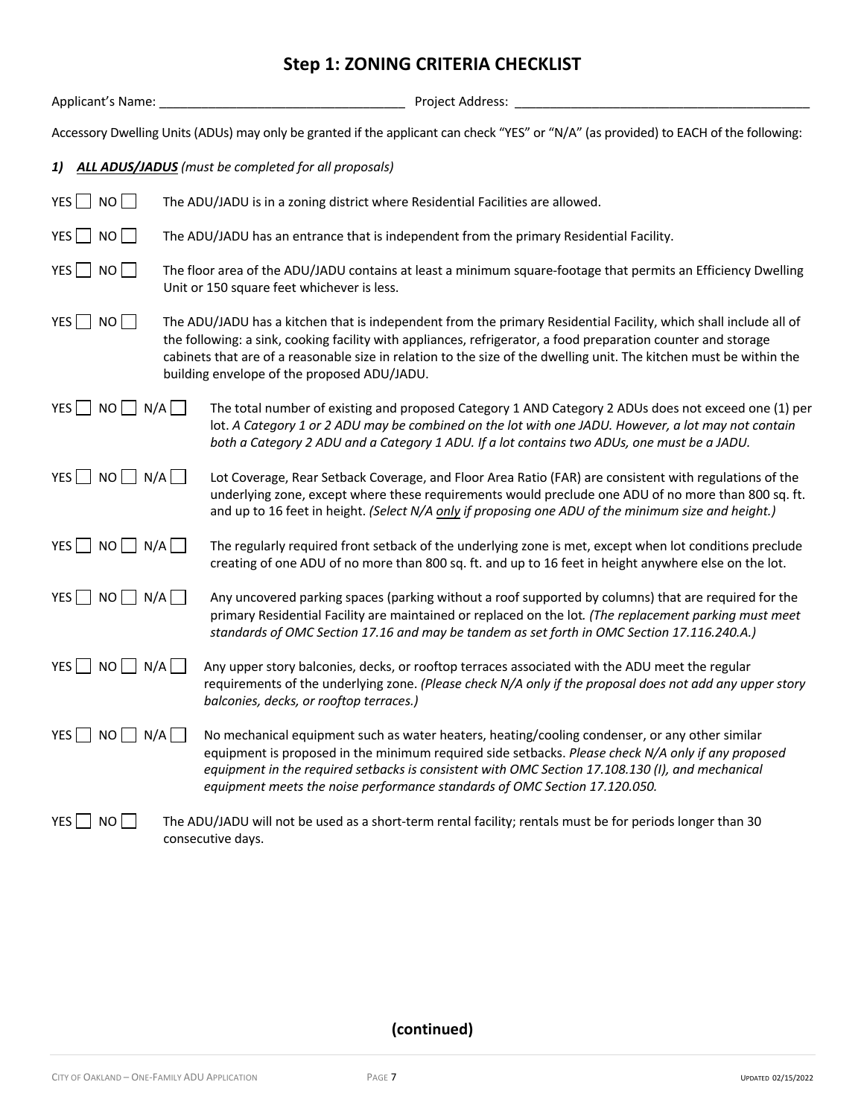# **Step 1: ZONING CRITERIA CHECKLIST**

| Applicant's Name:                                                                                                                                                                                                                                                                                                                                                                                                   | Project Address:                                                                                                                                                                                                                                                                                                                                                                       |  |  |  |  |
|---------------------------------------------------------------------------------------------------------------------------------------------------------------------------------------------------------------------------------------------------------------------------------------------------------------------------------------------------------------------------------------------------------------------|----------------------------------------------------------------------------------------------------------------------------------------------------------------------------------------------------------------------------------------------------------------------------------------------------------------------------------------------------------------------------------------|--|--|--|--|
|                                                                                                                                                                                                                                                                                                                                                                                                                     | Accessory Dwelling Units (ADUs) may only be granted if the applicant can check "YES" or "N/A" (as provided) to EACH of the following:                                                                                                                                                                                                                                                  |  |  |  |  |
| 1)                                                                                                                                                                                                                                                                                                                                                                                                                  | <b>ALL ADUS/JADUS</b> (must be completed for all proposals)                                                                                                                                                                                                                                                                                                                            |  |  |  |  |
| YES $\Box$ NO $\Box$                                                                                                                                                                                                                                                                                                                                                                                                | The ADU/JADU is in a zoning district where Residential Facilities are allowed.                                                                                                                                                                                                                                                                                                         |  |  |  |  |
| YES     NO                                                                                                                                                                                                                                                                                                                                                                                                          | The ADU/JADU has an entrance that is independent from the primary Residential Facility.                                                                                                                                                                                                                                                                                                |  |  |  |  |
| YES $\Box$ NO $\Box$                                                                                                                                                                                                                                                                                                                                                                                                | The floor area of the ADU/JADU contains at least a minimum square-footage that permits an Efficiency Dwelling<br>Unit or 150 square feet whichever is less.                                                                                                                                                                                                                            |  |  |  |  |
| $YES$ NO<br>The ADU/JADU has a kitchen that is independent from the primary Residential Facility, which shall include all of<br>the following: a sink, cooking facility with appliances, refrigerator, a food preparation counter and storage<br>cabinets that are of a reasonable size in relation to the size of the dwelling unit. The kitchen must be within the<br>building envelope of the proposed ADU/JADU. |                                                                                                                                                                                                                                                                                                                                                                                        |  |  |  |  |
| $NO$ $N/A$ $ $<br>$YES$                                                                                                                                                                                                                                                                                                                                                                                             | The total number of existing and proposed Category 1 AND Category 2 ADUs does not exceed one (1) per<br>lot. A Category 1 or 2 ADU may be combined on the lot with one JADU. However, a lot may not contain<br>both a Category 2 ADU and a Category 1 ADU. If a lot contains two ADUs, one must be a JADU.                                                                             |  |  |  |  |
| NO<br>N/A<br>YES                                                                                                                                                                                                                                                                                                                                                                                                    | Lot Coverage, Rear Setback Coverage, and Floor Area Ratio (FAR) are consistent with regulations of the<br>underlying zone, except where these requirements would preclude one ADU of no more than 800 sq. ft.<br>and up to 16 feet in height. (Select N/A only if proposing one ADU of the minimum size and height.)                                                                   |  |  |  |  |
| $NO \bigsqcup N/A \bigsqcup$<br>YES                                                                                                                                                                                                                                                                                                                                                                                 | The regularly required front setback of the underlying zone is met, except when lot conditions preclude<br>creating of one ADU of no more than 800 sq. ft. and up to 16 feet in height anywhere else on the lot.                                                                                                                                                                       |  |  |  |  |
| YES $\Box$ NO $\Box$ N/A $\Box$                                                                                                                                                                                                                                                                                                                                                                                     | Any uncovered parking spaces (parking without a roof supported by columns) that are required for the<br>primary Residential Facility are maintained or replaced on the lot. (The replacement parking must meet<br>standards of OMC Section 17.16 and may be tandem as set forth in OMC Section 17.116.240.A.)                                                                          |  |  |  |  |
| YES $\Box$<br>NO<br>N/A                                                                                                                                                                                                                                                                                                                                                                                             | Any upper story balconies, decks, or rooftop terraces associated with the ADU meet the regular<br>requirements of the underlying zone. (Please check N/A only if the proposal does not add any upper story<br>balconies, decks, or rooftop terraces.)                                                                                                                                  |  |  |  |  |
| $YES$ NO N/A                                                                                                                                                                                                                                                                                                                                                                                                        | No mechanical equipment such as water heaters, heating/cooling condenser, or any other similar<br>equipment is proposed in the minimum required side setbacks. Please check N/A only if any proposed<br>equipment in the required setbacks is consistent with OMC Section 17.108.130 (I), and mechanical<br>equipment meets the noise performance standards of OMC Section 17.120.050. |  |  |  |  |
| YES $\Box$ NO $\Box$                                                                                                                                                                                                                                                                                                                                                                                                | The ADU/JADU will not be used as a short-term rental facility; rentals must be for periods longer than 30<br>consecutive days.                                                                                                                                                                                                                                                         |  |  |  |  |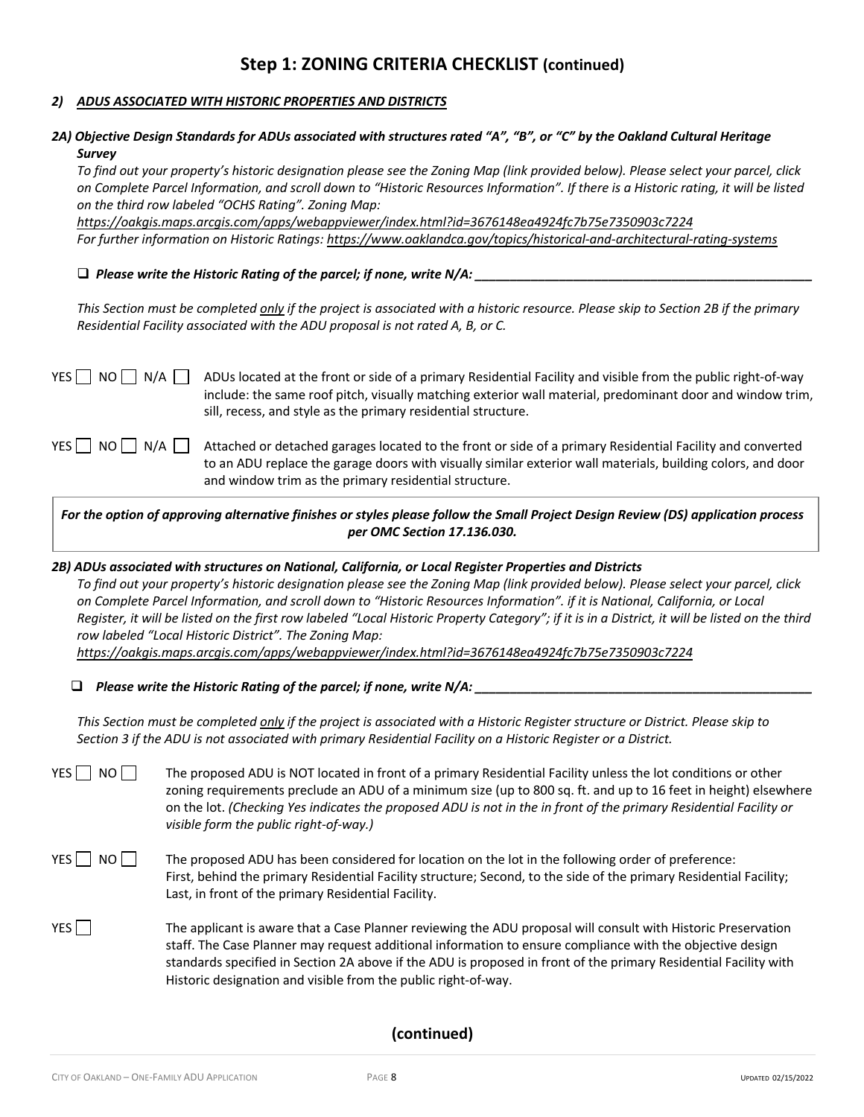#### *2) ADUS ASSOCIATED WITH HISTORIC PROPERTIES AND DISTRICTS*

### *2A) Objective Design Standards for ADUs associated with structures rated "A", "B", or "C" by the Oakland Cultural Heritage Survey*

*To find out your property's historic designation please see the Zoning Map (link provided below). Please select your parcel, click on Complete Parcel Information, and scroll down to "Historic Resources Information". If there is a Historic rating, it will be listed on the third row labeled "OCHS Rating". Zoning Map:* 

*https://oakgis.maps.arcgis.com/apps/webappviewer/index.html?id=3676148ea4924fc7b75e7350903c7224 For further information on Historic Ratings: https://www.oaklandca.gov/topics/historical-and-architectural-rating-systems*

#### $\Box$  Please write the Historic Rating of the parcel; if none, write N/A:

*This Section must be completed only if the project is associated with a historic resource. Please skip to Section 2B if the primary Residential Facility associated with the ADU proposal is not rated A, B, or C.*

YES  $\Box$  NO  $\Box$  N/A  $\Box$  ADUs located at the front or side of a primary Residential Facility and visible from the public right-of-way include: the same roof pitch, visually matching exterior wall material, predominant door and window trim, sill, recess, and style as the primary residential structure.

YES  $\Box$  NO  $\Box$  N/A  $\Box$  Attached or detached garages located to the front or side of a primary Residential Facility and converted to an ADU replace the garage doors with visually similar exterior wall materials, building colors, and door and window trim as the primary residential structure.

*For the option of approving alternative finishes or styles please follow the Small Project Design Review (DS) application process per OMC Section 17.136.030.*

#### *2B) ADUs associated with structures on National, California, or Local Register Properties and Districts*

*To find out your property's historic designation please see the Zoning Map (link provided below). Please select your parcel, click on Complete Parcel Information, and scroll down to "Historic Resources Information". if it is National, California, or Local Register, it will be listed on the first row labeled "Local Historic Property Category"; if it is in a District, it will be listed on the third row labeled "Local Historic District". The Zoning Map:*

*https://oakgis.maps.arcgis.com/apps/webappviewer/index.html?id=3676148ea4924fc7b75e7350903c7224* 

 $\Box$  Please write the Historic Rating of the parcel; if none, write N/A:

*This Section must be completed only if the project is associated with a Historic Register structure or District. Please skip to Section 3 if the ADU is not associated with primary Residential Facility on a Historic Register or a District.*

YES NO The proposed ADU is NOT located in front of a primary Residential Facility unless the lot conditions or other zoning requirements preclude an ADU of a minimum size (up to 800 sq. ft. and up to 16 feet in height) elsewhere on the lot. *(Checking Yes indicates the proposed ADU is not in the in front of the primary Residential Facility or visible form the public right-of-way.)*

- $YES \cap NO \cap$  The proposed ADU has been considered for location on the lot in the following order of preference: First, behind the primary Residential Facility structure; Second, to the side of the primary Residential Facility; Last, in front of the primary Residential Facility.
- YES The applicant is aware that a Case Planner reviewing the ADU proposal will consult with Historic Preservation staff. The Case Planner may request additional information to ensure compliance with the objective design standards specified in Section 2A above if the ADU is proposed in front of the primary Residential Facility with Historic designation and visible from the public right-of-way.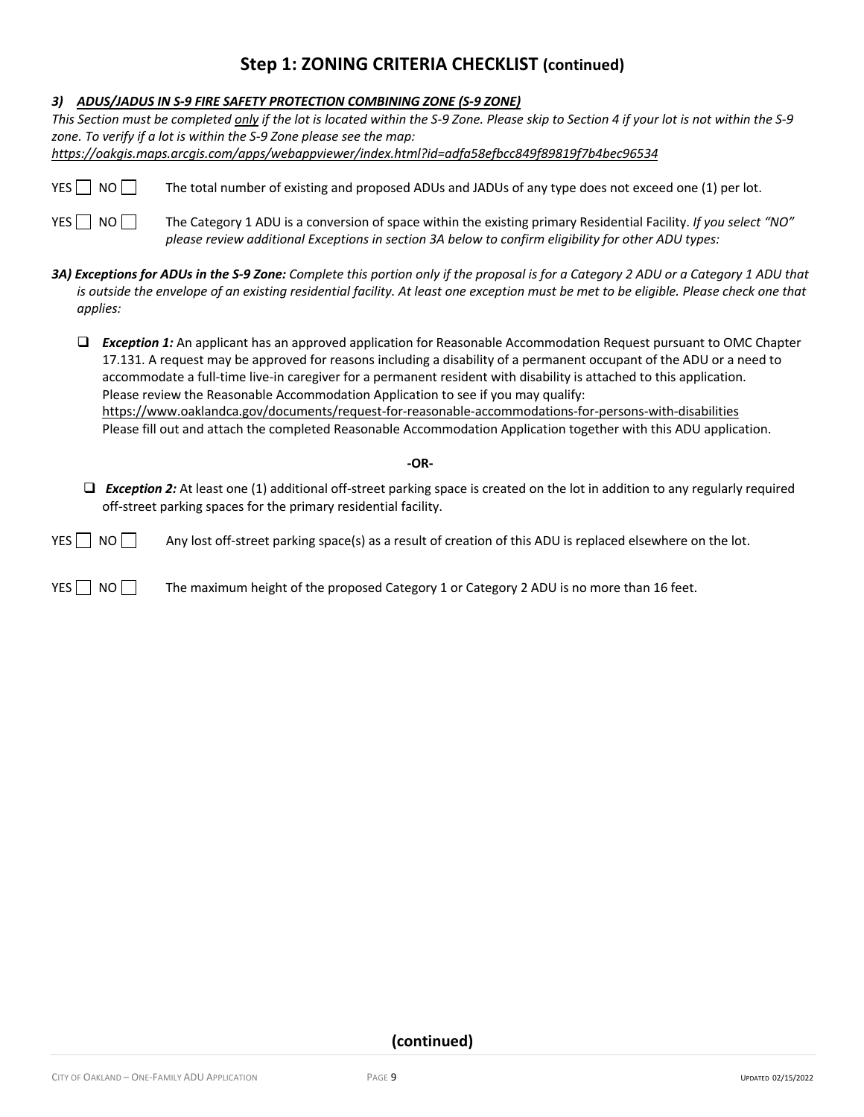|  | 3) ADUS/JADUS IN S-9 FIRE SAFETY PROTECTION COMBINING ZONE (S-9 ZONE) |  |
|--|-----------------------------------------------------------------------|--|
|--|-----------------------------------------------------------------------|--|

|            |          | This Section must be completed only if the lot is located within the S-9 Zone. Please skip to Section 4 if your lot is not within the S-9<br>zone. To verify if a lot is within the S-9 Zone please see the map:<br>https://oakgis.maps.arcgis.com/apps/webappviewer/index.html?id=adfa58efbcc849f89819f7b4bec96534                                                                                                                                                                                                                                                      |
|------------|----------|--------------------------------------------------------------------------------------------------------------------------------------------------------------------------------------------------------------------------------------------------------------------------------------------------------------------------------------------------------------------------------------------------------------------------------------------------------------------------------------------------------------------------------------------------------------------------|
|            | $YES$ NO | The total number of existing and proposed ADUs and JADUs of any type does not exceed one (1) per lot.                                                                                                                                                                                                                                                                                                                                                                                                                                                                    |
| YES     NO |          | The Category 1 ADU is a conversion of space within the existing primary Residential Facility. If you select "NO"<br>please review additional Exceptions in section 3A below to confirm eligibility for other ADU types:                                                                                                                                                                                                                                                                                                                                                  |
|            | applies: | 3A) Exceptions for ADUs in the S-9 Zone: Complete this portion only if the proposal is for a Category 2 ADU or a Category 1 ADU that<br>is outside the envelope of an existing residential facility. At least one exception must be met to be eligible. Please check one that                                                                                                                                                                                                                                                                                            |
| $\Box$     |          | <b>Exception 1:</b> An applicant has an approved application for Reasonable Accommodation Request pursuant to OMC Chapter<br>17.131. A request may be approved for reasons including a disability of a permanent occupant of the ADU or a need to<br>accommodate a full-time live-in caregiver for a permanent resident with disability is attached to this application.<br>Please review the Reasonable Accommodation Application to see if you may qualify:<br>https://www.oaklandca.gov/documents/request-for-reasonable-accommodations-for-persons-with-disabilities |
|            |          | Please fill out and attach the completed Reasonable Accommodation Application together with this ADU application.                                                                                                                                                                                                                                                                                                                                                                                                                                                        |
|            |          | $-OR-$                                                                                                                                                                                                                                                                                                                                                                                                                                                                                                                                                                   |
| ❏          |          | <b>Exception 2:</b> At least one (1) additional off-street parking space is created on the lot in addition to any regularly required<br>off-street parking spaces for the primary residential facility.                                                                                                                                                                                                                                                                                                                                                                  |
| YES I      | NO       | Any lost off-street parking space(s) as a result of creation of this ADU is replaced elsewhere on the lot.                                                                                                                                                                                                                                                                                                                                                                                                                                                               |
| YES I      | NO L     | The maximum height of the proposed Category 1 or Category 2 ADU is no more than 16 feet.                                                                                                                                                                                                                                                                                                                                                                                                                                                                                 |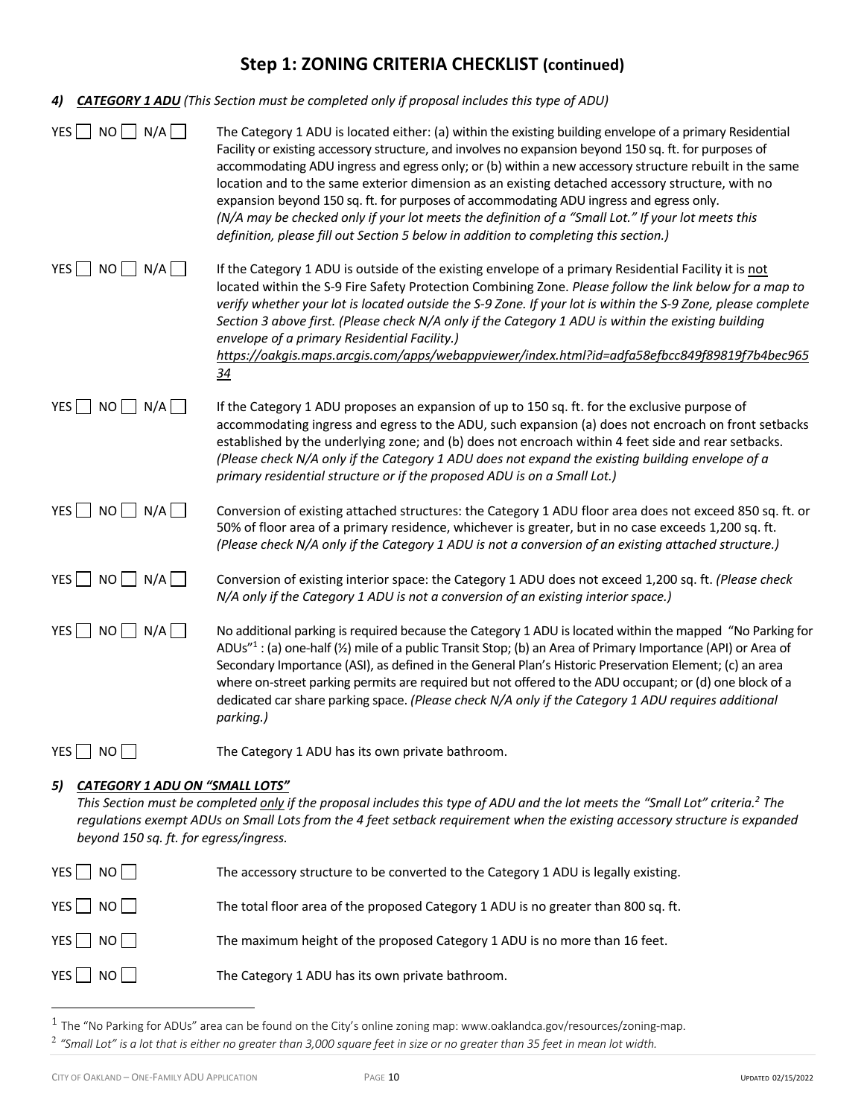| 4) |                                                                                                                                                                                                                                                                                                                                                              | <b>CATEGORY 1 ADU</b> (This Section must be completed only if proposal includes this type of ADU)                                                                                                                                                                                                                                                                                                                                                                                                                                                                                                                                                                                                                         |  |  |  |
|----|--------------------------------------------------------------------------------------------------------------------------------------------------------------------------------------------------------------------------------------------------------------------------------------------------------------------------------------------------------------|---------------------------------------------------------------------------------------------------------------------------------------------------------------------------------------------------------------------------------------------------------------------------------------------------------------------------------------------------------------------------------------------------------------------------------------------------------------------------------------------------------------------------------------------------------------------------------------------------------------------------------------------------------------------------------------------------------------------------|--|--|--|
|    | YES $\Box$ NO $\Box$ N/A $\Box$                                                                                                                                                                                                                                                                                                                              | The Category 1 ADU is located either: (a) within the existing building envelope of a primary Residential<br>Facility or existing accessory structure, and involves no expansion beyond 150 sq. ft. for purposes of<br>accommodating ADU ingress and egress only; or (b) within a new accessory structure rebuilt in the same<br>location and to the same exterior dimension as an existing detached accessory structure, with no<br>expansion beyond 150 sq. ft. for purposes of accommodating ADU ingress and egress only.<br>(N/A may be checked only if your lot meets the definition of a "Small Lot." If your lot meets this<br>definition, please fill out Section 5 below in addition to completing this section.) |  |  |  |
|    | YES $\Box$ NO $\Box$ N/A $\Box$                                                                                                                                                                                                                                                                                                                              | If the Category 1 ADU is outside of the existing envelope of a primary Residential Facility it is not<br>located within the S-9 Fire Safety Protection Combining Zone. Please follow the link below for a map to<br>verify whether your lot is located outside the S-9 Zone. If your lot is within the S-9 Zone, please complete<br>Section 3 above first. (Please check N/A only if the Category 1 ADU is within the existing building<br>envelope of a primary Residential Facility.)<br>https://oakqis.maps.arcqis.com/apps/webappviewer/index.html?id=adfa58efbcc849f89819f7b4bec965<br>$\frac{34}{5}$                                                                                                                |  |  |  |
|    | YES $\Box$ NO $\Box$ N/A $\Box$                                                                                                                                                                                                                                                                                                                              | If the Category 1 ADU proposes an expansion of up to 150 sq. ft. for the exclusive purpose of<br>accommodating ingress and egress to the ADU, such expansion (a) does not encroach on front setbacks<br>established by the underlying zone; and (b) does not encroach within 4 feet side and rear setbacks.<br>(Please check N/A only if the Category 1 ADU does not expand the existing building envelope of a<br>primary residential structure or if the proposed ADU is on a Small Lot.)                                                                                                                                                                                                                               |  |  |  |
|    | YES $\Box$ NO $\Box$ N/A $\Box$                                                                                                                                                                                                                                                                                                                              | Conversion of existing attached structures: the Category 1 ADU floor area does not exceed 850 sq. ft. or<br>50% of floor area of a primary residence, whichever is greater, but in no case exceeds 1,200 sq. ft.<br>(Please check N/A only if the Category 1 ADU is not a conversion of an existing attached structure.)                                                                                                                                                                                                                                                                                                                                                                                                  |  |  |  |
|    | YES $\Box$ NO $\Box$ N/A $\Box$                                                                                                                                                                                                                                                                                                                              | Conversion of existing interior space: the Category 1 ADU does not exceed 1,200 sq. ft. (Please check<br>N/A only if the Category 1 ADU is not a conversion of an existing interior space.)                                                                                                                                                                                                                                                                                                                                                                                                                                                                                                                               |  |  |  |
|    | YES $\Box$ NO $\Box$ N/A $\Box$                                                                                                                                                                                                                                                                                                                              | No additional parking is required because the Category 1 ADU is located within the mapped "No Parking for<br>ADUs" $1$ : (a) one-half ( $\frac{1}{2}$ ) mile of a public Transit Stop; (b) an Area of Primary Importance (API) or Area of<br>Secondary Importance (ASI), as defined in the General Plan's Historic Preservation Element; (c) an area<br>where on-street parking permits are required but not offered to the ADU occupant; or (d) one block of a<br>dedicated car share parking space. (Please check N/A only if the Category 1 ADU requires additional<br>parking.)                                                                                                                                       |  |  |  |
|    | YES   NO                                                                                                                                                                                                                                                                                                                                                     | The Category 1 ADU has its own private bathroom.                                                                                                                                                                                                                                                                                                                                                                                                                                                                                                                                                                                                                                                                          |  |  |  |
| 5) | <b>CATEGORY 1 ADU ON "SMALL LOTS"</b><br>This Section must be completed only if the proposal includes this type of ADU and the lot meets the "Small Lot" criteria. <sup>2</sup> The<br>regulations exempt ADUs on Small Lots from the 4 feet setback requirement when the existing accessory structure is expanded<br>beyond 150 sq. ft. for egress/ingress. |                                                                                                                                                                                                                                                                                                                                                                                                                                                                                                                                                                                                                                                                                                                           |  |  |  |
|    | YES $\Box$ NO $\Box$                                                                                                                                                                                                                                                                                                                                         | The accessory structure to be converted to the Category 1 ADU is legally existing.                                                                                                                                                                                                                                                                                                                                                                                                                                                                                                                                                                                                                                        |  |  |  |
|    | YES $\Box$ NO $\Box$                                                                                                                                                                                                                                                                                                                                         | The total floor area of the proposed Category 1 ADU is no greater than 800 sq. ft.                                                                                                                                                                                                                                                                                                                                                                                                                                                                                                                                                                                                                                        |  |  |  |

YES NO NO The Category 1 ADU has its own private bathroom.

 $1$  The "No Parking for ADUs" area can be found on the City's online zoning map: www.oaklandca.gov/resources/zoning-map. <sup>2</sup> *"Small Lot" is a lot that is either no greater than 3,000 square feet in size or no greater than 35 feet in mean lot width.*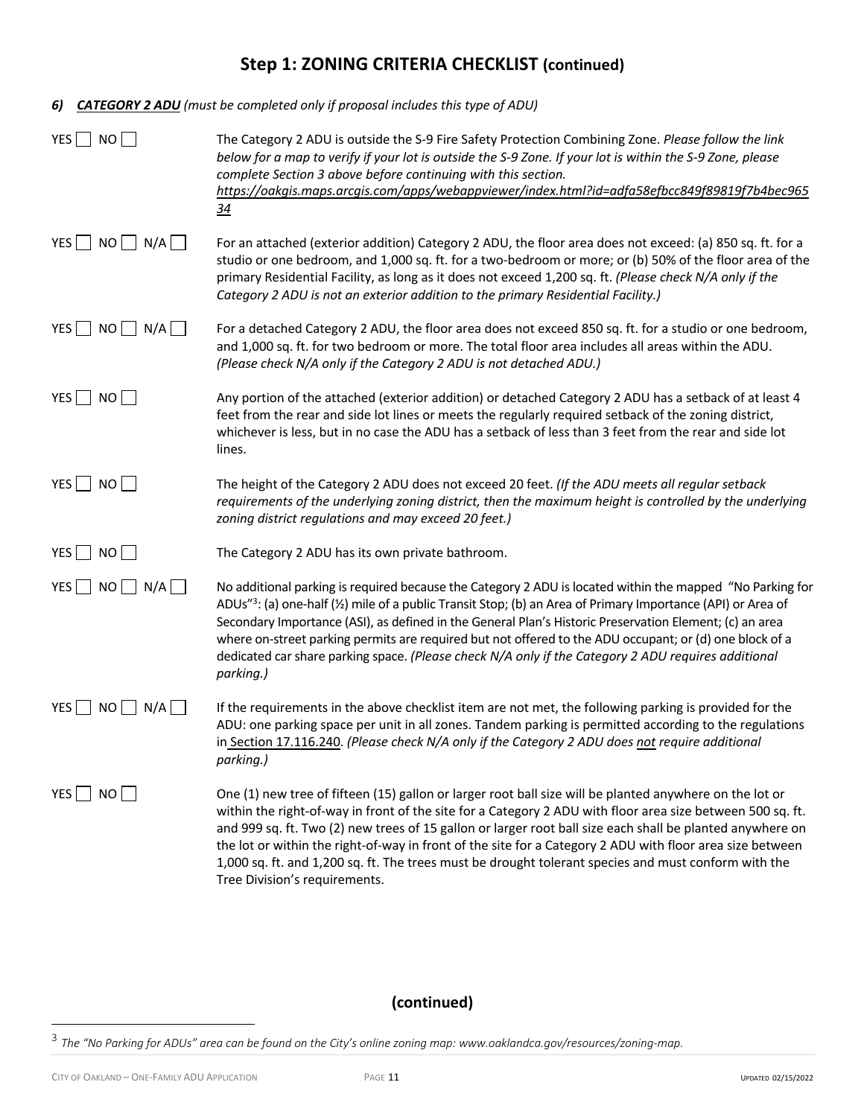*6) CATEGORY 2 ADU (must be completed only if proposal includes this type of ADU)*

| $YES$ NO                        | The Category 2 ADU is outside the S-9 Fire Safety Protection Combining Zone. Please follow the link<br>below for a map to verify if your lot is outside the S-9 Zone. If your lot is within the S-9 Zone, please<br>complete Section 3 above before continuing with this section.<br>https://oakqis.maps.arcqis.com/apps/webappviewer/index.html?id=adfa58efbcc849f89819f7b4bec965<br>$\frac{34}{5}$                                                                                                                                                                                         |
|---------------------------------|----------------------------------------------------------------------------------------------------------------------------------------------------------------------------------------------------------------------------------------------------------------------------------------------------------------------------------------------------------------------------------------------------------------------------------------------------------------------------------------------------------------------------------------------------------------------------------------------|
| $NO$ $N/A$ $\vert$<br>$YES$     | For an attached (exterior addition) Category 2 ADU, the floor area does not exceed: (a) 850 sq. ft. for a<br>studio or one bedroom, and 1,000 sq. ft. for a two-bedroom or more; or (b) 50% of the floor area of the<br>primary Residential Facility, as long as it does not exceed 1,200 sq. ft. (Please check N/A only if the<br>Category 2 ADU is not an exterior addition to the primary Residential Facility.)                                                                                                                                                                          |
| YES $\Box$ NO $\Box$ N/A $\Box$ | For a detached Category 2 ADU, the floor area does not exceed 850 sq. ft. for a studio or one bedroom,<br>and 1,000 sq. ft. for two bedroom or more. The total floor area includes all areas within the ADU.<br>(Please check N/A only if the Category 2 ADU is not detached ADU.)                                                                                                                                                                                                                                                                                                           |
| YES NO                          | Any portion of the attached (exterior addition) or detached Category 2 ADU has a setback of at least 4<br>feet from the rear and side lot lines or meets the regularly required setback of the zoning district,<br>whichever is less, but in no case the ADU has a setback of less than 3 feet from the rear and side lot<br>lines.                                                                                                                                                                                                                                                          |
| $YES$ NO                        | The height of the Category 2 ADU does not exceed 20 feet. (If the ADU meets all regular setback<br>requirements of the underlying zoning district, then the maximum height is controlled by the underlying<br>zoning district regulations and may exceed 20 feet.)                                                                                                                                                                                                                                                                                                                           |
| YES NO                          | The Category 2 ADU has its own private bathroom.                                                                                                                                                                                                                                                                                                                                                                                                                                                                                                                                             |
| YES $\Box$ NO $\Box$ N/A $\Box$ | No additional parking is required because the Category 2 ADU is located within the mapped "No Parking for<br>ADUs" <sup>3</sup> : (a) one-half ( $\frac{1}{2}$ ) mile of a public Transit Stop; (b) an Area of Primary Importance (API) or Area of<br>Secondary Importance (ASI), as defined in the General Plan's Historic Preservation Element; (c) an area<br>where on-street parking permits are required but not offered to the ADU occupant; or (d) one block of a<br>dedicated car share parking space. (Please check N/A only if the Category 2 ADU requires additional<br>parking.) |
| YES<br>NO<br>$\Box$ N/A $\Box$  | If the requirements in the above checklist item are not met, the following parking is provided for the<br>ADU: one parking space per unit in all zones. Tandem parking is permitted according to the regulations<br>in Section 17.116.240. (Please check N/A only if the Category 2 ADU does not require additional<br>parking.)                                                                                                                                                                                                                                                             |
| $YES$ NO                        | One (1) new tree of fifteen (15) gallon or larger root ball size will be planted anywhere on the lot or<br>within the right-of-way in front of the site for a Category 2 ADU with floor area size between 500 sq. ft.<br>and 999 sq. ft. Two (2) new trees of 15 gallon or larger root ball size each shall be planted anywhere on<br>the lot or within the right-of-way in front of the site for a Category 2 ADU with floor area size between<br>1,000 sq. ft. and 1,200 sq. ft. The trees must be drought tolerant species and must conform with the<br>Tree Division's requirements.     |

<sup>3</sup> *The "No Parking for ADUs" area can be found on the City's online zoning map: www.oaklandca.gov/resources/zoning-map.*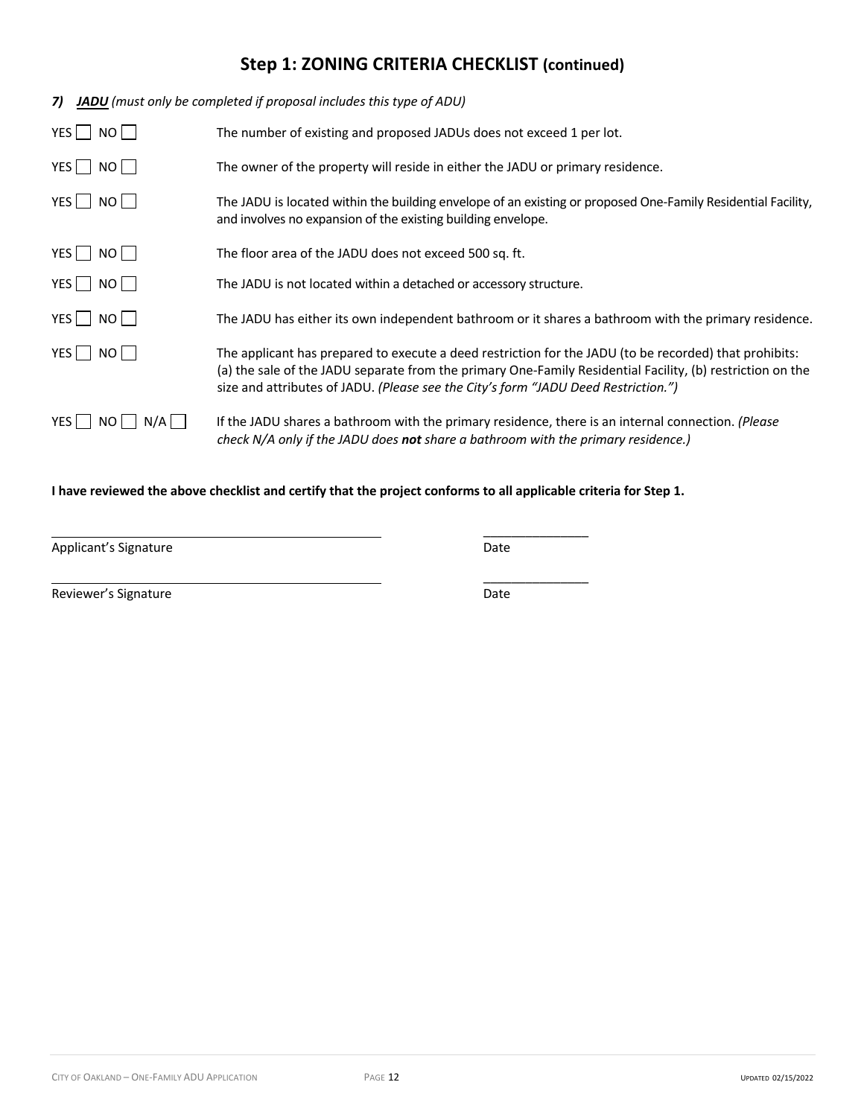| 7)              | <b>JADU</b> (must only be completed if proposal includes this type of ADU)                                                                                                                                                                                                                                 |  |  |  |  |
|-----------------|------------------------------------------------------------------------------------------------------------------------------------------------------------------------------------------------------------------------------------------------------------------------------------------------------------|--|--|--|--|
| YES   NO        | The number of existing and proposed JADUs does not exceed 1 per lot.                                                                                                                                                                                                                                       |  |  |  |  |
| YES   NO        | The owner of the property will reside in either the JADU or primary residence.                                                                                                                                                                                                                             |  |  |  |  |
| YES   NO        | The JADU is located within the building envelope of an existing or proposed One-Family Residential Facility,<br>and involves no expansion of the existing building envelope.                                                                                                                               |  |  |  |  |
| YES   NO        | The floor area of the JADU does not exceed 500 sq. ft.                                                                                                                                                                                                                                                     |  |  |  |  |
| YES NO          | The JADU is not located within a detached or accessory structure.                                                                                                                                                                                                                                          |  |  |  |  |
| $YES$ NO        | The JADU has either its own independent bathroom or it shares a bathroom with the primary residence.                                                                                                                                                                                                       |  |  |  |  |
| YES I<br>NO II  | The applicant has prepared to execute a deed restriction for the JADU (to be recorded) that prohibits:<br>(a) the sale of the JADU separate from the primary One-Family Residential Facility, (b) restriction on the<br>size and attributes of JADU. (Please see the City's form "JADU Deed Restriction.") |  |  |  |  |
| $YES$ NO<br>N/A | If the JADU shares a bathroom with the primary residence, there is an internal connection. (Please<br>check N/A only if the JADU does <b>not</b> share a bathroom with the primary residence.)                                                                                                             |  |  |  |  |

### **I have reviewed the above checklist and certify that the project conforms to all applicable criteria for Step 1.**

Applicant's Signature **Date** Date **Date** 

\_\_\_\_\_\_\_\_\_\_\_\_\_\_\_

\_\_\_\_\_\_\_\_\_\_\_\_\_\_\_

Reviewer's Signature **Date** Date of **Contract Contract Contract Contract Contract Contract Contract Contract Contract Contract Contract Contract Contract Contract Contract Contract Contract Contract Contract Contract Contr**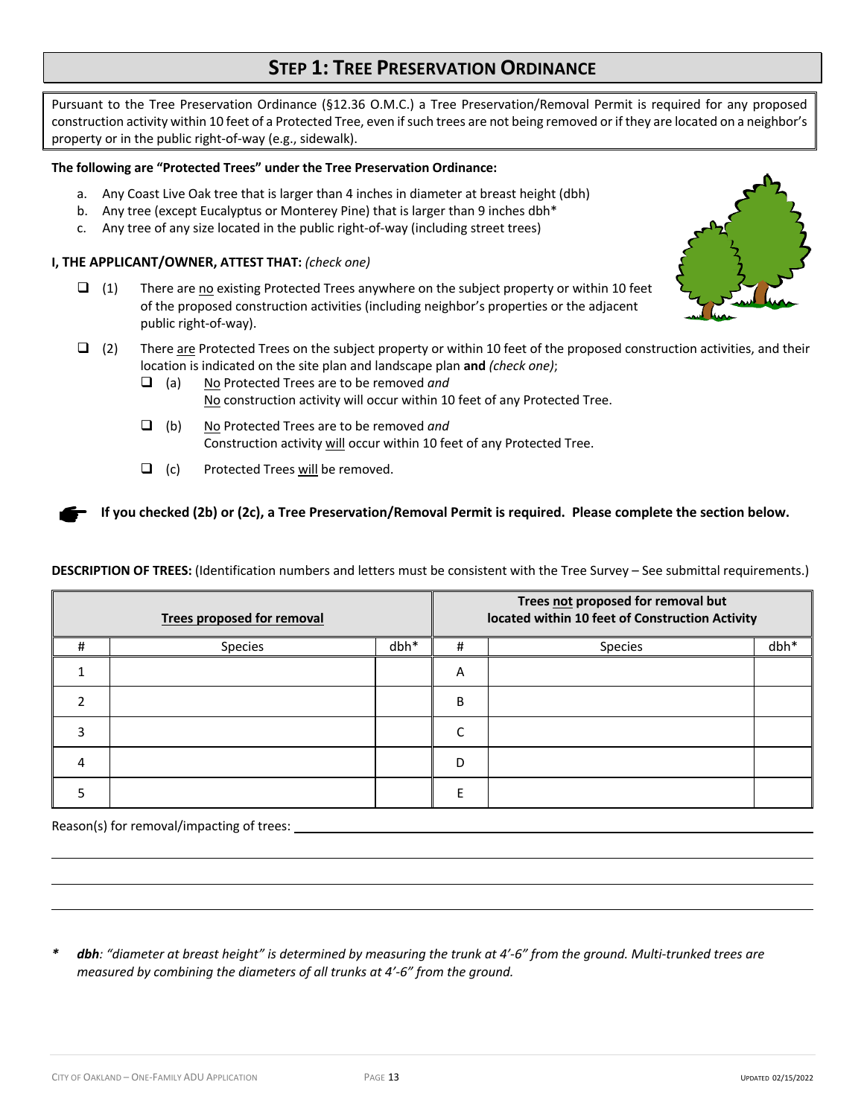# **STEP 1: TREE PRESERVATION ORDINANCE**

Pursuant to the Tree Preservation Ordinance (§12.36 O.M.C.) a Tree Preservation/Removal Permit is required for any proposed construction activity within 10 feet of a Protected Tree, even if such trees are not being removed or if they are located on a neighbor's property or in the public right-of-way (e.g., sidewalk).

### **The following are "Protected Trees" under the Tree Preservation Ordinance:**

- a. Any Coast Live Oak tree that is larger than 4 inches in diameter at breast height (dbh)
- b. Any tree (except Eucalyptus or Monterey Pine) that is larger than 9 inches dbh\*
- c. Any tree of any size located in the public right-of-way (including street trees)

### **I, THE APPLICANT/OWNER, ATTEST THAT:** *(check one)*

- $\Box$  (1) There are no existing Protected Trees anywhere on the subject property or within 10 feet of the proposed construction activities (including neighbor's properties or the adjacent public right-of-way).
- $\Box$  (2) There are Protected Trees on the subject property or within 10 feet of the proposed construction activities, and their location is indicated on the site plan and landscape plan **and** *(check one)*;
	- q (a) No Protected Trees are to be removed *and* No construction activity will occur within 10 feet of any Protected Tree.
	- q (b) No Protected Trees are to be removed *and* Construction activity will occur within 10 feet of any Protected Tree.
	- $\Box$  (c) Protected Trees will be removed.

**If you checked (2b) or (2c), a Tree Preservation/Removal Permit is required. Please complete the section below.**

**DESCRIPTION OF TREES:** (Identification numbers and letters must be consistent with the Tree Survey – See submittal requirements.)

| <b>Trees proposed for removal</b> |         |        |   | Trees not proposed for removal but<br>located within 10 feet of Construction Activity |        |
|-----------------------------------|---------|--------|---|---------------------------------------------------------------------------------------|--------|
| Ħ                                 | Species | $dbh*$ | # | <b>Species</b>                                                                        | $dbh*$ |
|                                   |         |        | A |                                                                                       |        |
|                                   |         |        | B |                                                                                       |        |
|                                   |         |        |   |                                                                                       |        |
| 4                                 |         |        | D |                                                                                       |        |
|                                   |         |        |   |                                                                                       |        |

Reason(s) for removal/impacting of trees:

*\* dbh: "diameter at breast height" is determined by measuring the trunk at 4'-6" from the ground. Multi-trunked trees are measured by combining the diameters of all trunks at 4'-6" from the ground.* 

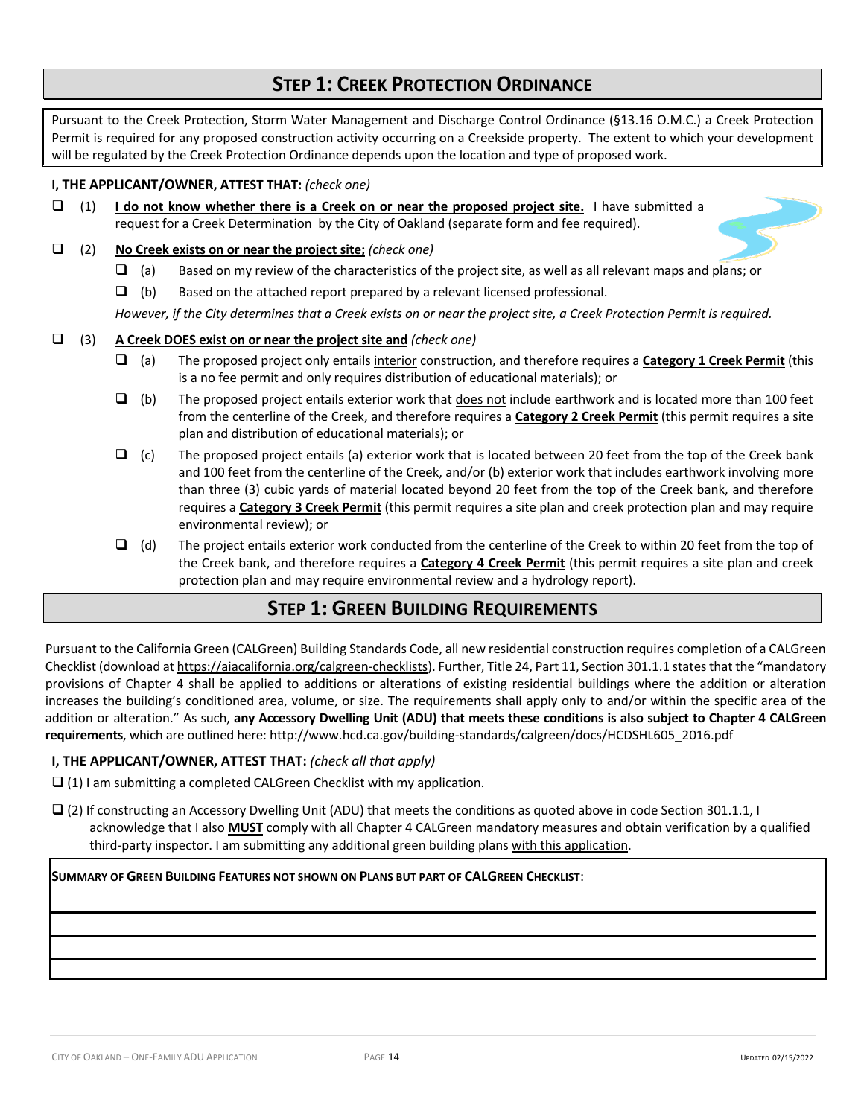# **STEP 1: CREEK PROTECTION ORDINANCE**

Pursuant to the Creek Protection, Storm Water Management and Discharge Control Ordinance (§13.16 O.M.C.) a Creek Protection Permit is required for any proposed construction activity occurring on a Creekside property. The extent to which your development will be regulated by the Creek Protection Ordinance depends upon the location and type of proposed work.

### **I, THE APPLICANT/OWNER, ATTEST THAT:** *(check one)*

 $\Box$  (1) **I do not know whether there is a Creek on or near the proposed project site.** I have submitted a request for a Creek Determination by the City of Oakland (separate form and fee required).

### q (2) **No Creek exists on or near the project site;** *(check one)*

- $\Box$  (a) Based on my review of the characteristics of the project site, as well as all relevant maps and plans; or
- $\Box$  (b) Based on the attached report prepared by a relevant licensed professional.

*However, if the City determines that a Creek exists on or near the project site, a Creek Protection Permit is required.*

### q (3) **A Creek DOES exist on or near the project site and** *(check one)*

- $\Box$  (a) The proposed project only entails interior construction, and therefore requires a **Category 1 Creek Permit** (this is a no fee permit and only requires distribution of educational materials); or
- $\Box$  (b) The proposed project entails exterior work that does not include earthwork and is located more than 100 feet from the centerline of the Creek, and therefore requires a **Category 2 Creek Permit** (this permit requires a site plan and distribution of educational materials); or
- $\Box$  (c) The proposed project entails (a) exterior work that is located between 20 feet from the top of the Creek bank and 100 feet from the centerline of the Creek, and/or (b) exterior work that includes earthwork involving more than three (3) cubic yards of material located beyond 20 feet from the top of the Creek bank, and therefore requires a **Category 3 Creek Permit** (this permit requires a site plan and creek protection plan and may require environmental review); or
- $\Box$  (d) The project entails exterior work conducted from the centerline of the Creek to within 20 feet from the top of the Creek bank, and therefore requires a **Category 4 Creek Permit** (this permit requires a site plan and creek protection plan and may require environmental review and a hydrology report).

# **STEP 1: GREEN BUILDING REQUIREMENTS**

Pursuant to the California Green (CALGreen) Building Standards Code, all new residential construction requires completion of a CALGreen Checklist (download at https://aiacalifornia.org/calgreen-checklists). Further, Title 24, Part 11, Section 301.1.1 states that the "mandatory provisions of Chapter 4 shall be applied to additions or alterations of existing residential buildings where the addition or alteration increases the building's conditioned area, volume, or size. The requirements shall apply only to and/or within the specific area of the addition or alteration." As such, **any Accessory Dwelling Unit (ADU) that meets these conditions is also subject to Chapter 4 CALGreen requirements**, which are outlined here: http://www.hcd.ca.gov/building-standards/calgreen/docs/HCDSHL605\_2016.pdf

## **I, THE APPLICANT/OWNER, ATTEST THAT:** *(check all that apply)*

 $\Box$  (1) I am submitting a completed CALGreen Checklist with my application.

 $\Box$  (2) If constructing an Accessory Dwelling Unit (ADU) that meets the conditions as quoted above in code Section 301.1.1, I acknowledge that I also **MUST** comply with all Chapter 4 CALGreen mandatory measures and obtain verification by a qualified third-party inspector. I am submitting any additional green building plans with this application.

## **SUMMARY OF GREEN BUILDING FEATURES NOT SHOWN ON PLANS BUT PART OF CALGREEN CHECKLIST**: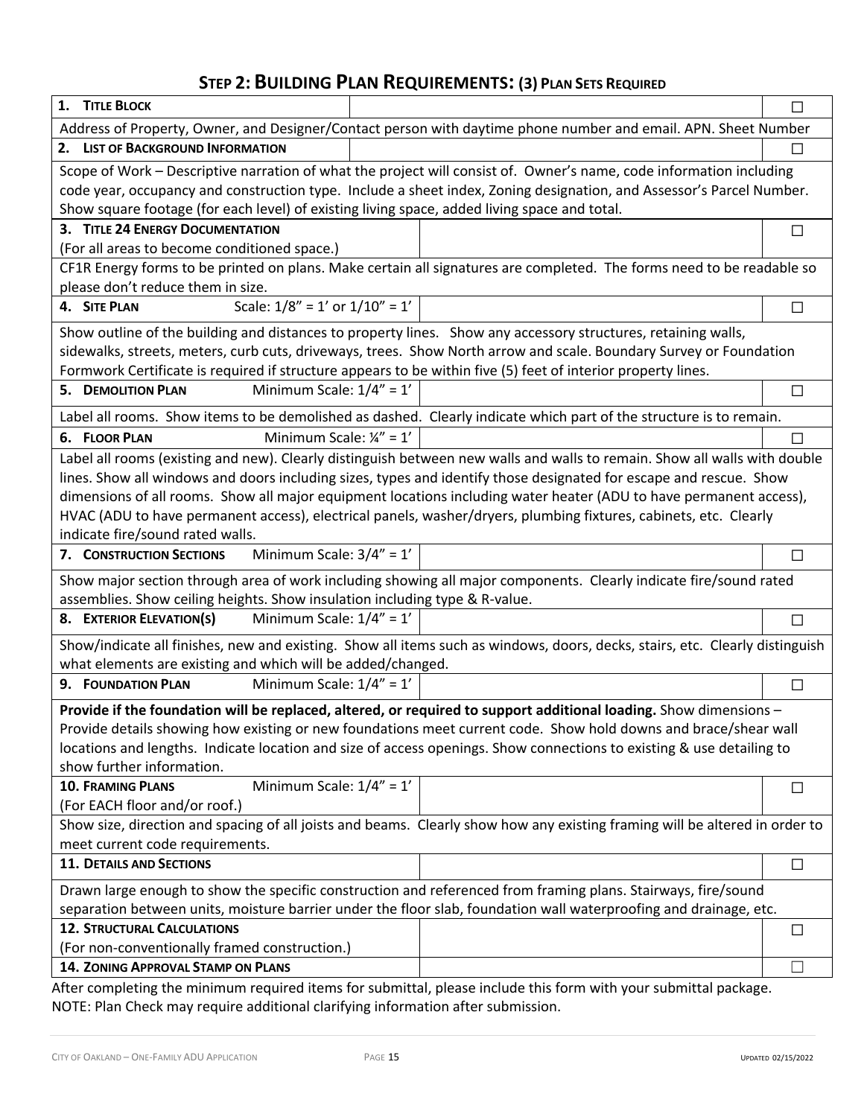# **STEP 2: BUILDING PLAN REQUIREMENTS: (3) PLAN SETS REQUIRED**

| 1. TITLE BLOCK                                                                                               |                                                                                                                                                                                                                                      | □      |
|--------------------------------------------------------------------------------------------------------------|--------------------------------------------------------------------------------------------------------------------------------------------------------------------------------------------------------------------------------------|--------|
|                                                                                                              | Address of Property, Owner, and Designer/Contact person with daytime phone number and email. APN. Sheet Number                                                                                                                       |        |
| 2. LIST OF BACKGROUND INFORMATION                                                                            |                                                                                                                                                                                                                                      | $\Box$ |
|                                                                                                              | Scope of Work - Descriptive narration of what the project will consist of. Owner's name, code information including                                                                                                                  |        |
|                                                                                                              | code year, occupancy and construction type. Include a sheet index, Zoning designation, and Assessor's Parcel Number.                                                                                                                 |        |
| Show square footage (for each level) of existing living space, added living space and total.                 |                                                                                                                                                                                                                                      |        |
| 3. TITLE 24 ENERGY DOCUMENTATION                                                                             |                                                                                                                                                                                                                                      | $\Box$ |
| (For all areas to become conditioned space.)                                                                 |                                                                                                                                                                                                                                      |        |
|                                                                                                              | CF1R Energy forms to be printed on plans. Make certain all signatures are completed. The forms need to be readable so                                                                                                                |        |
| please don't reduce them in size.                                                                            |                                                                                                                                                                                                                                      |        |
| Scale: $1/8'' = 1'$ or $1/10'' = 1'$<br>4. SITE PLAN                                                         |                                                                                                                                                                                                                                      | $\Box$ |
|                                                                                                              | Show outline of the building and distances to property lines. Show any accessory structures, retaining walls,                                                                                                                        |        |
|                                                                                                              | sidewalks, streets, meters, curb cuts, driveways, trees. Show North arrow and scale. Boundary Survey or Foundation                                                                                                                   |        |
| Formwork Certificate is required if structure appears to be within five (5) feet of interior property lines. |                                                                                                                                                                                                                                      |        |
| Minimum Scale: $1/4" = 1'$<br><b>5. DEMOLITION PLAN</b>                                                      |                                                                                                                                                                                                                                      | $\Box$ |
|                                                                                                              | Label all rooms. Show items to be demolished as dashed. Clearly indicate which part of the structure is to remain.                                                                                                                   |        |
| Minimum Scale: $\frac{1}{4}$ " = 1'<br>6. FLOOR PLAN                                                         |                                                                                                                                                                                                                                      | $\Box$ |
|                                                                                                              | Label all rooms (existing and new). Clearly distinguish between new walls and walls to remain. Show all walls with double                                                                                                            |        |
|                                                                                                              | lines. Show all windows and doors including sizes, types and identify those designated for escape and rescue. Show                                                                                                                   |        |
|                                                                                                              | dimensions of all rooms. Show all major equipment locations including water heater (ADU to have permanent access),                                                                                                                   |        |
|                                                                                                              | HVAC (ADU to have permanent access), electrical panels, washer/dryers, plumbing fixtures, cabinets, etc. Clearly                                                                                                                     |        |
| indicate fire/sound rated walls.                                                                             |                                                                                                                                                                                                                                      |        |
| Minimum Scale: $3/4" = 1'$<br>7. CONSTRUCTION SECTIONS                                                       |                                                                                                                                                                                                                                      | □      |
|                                                                                                              | Show major section through area of work including showing all major components. Clearly indicate fire/sound rated                                                                                                                    |        |
| assemblies. Show ceiling heights. Show insulation including type & R-value.                                  |                                                                                                                                                                                                                                      |        |
| Minimum Scale: $1/4" = 1'$<br>8. EXTERIOR ELEVATION(S)                                                       |                                                                                                                                                                                                                                      | $\Box$ |
|                                                                                                              | Show/indicate all finishes, new and existing. Show all items such as windows, doors, decks, stairs, etc. Clearly distinguish                                                                                                         |        |
| what elements are existing and which will be added/changed.                                                  |                                                                                                                                                                                                                                      |        |
| Minimum Scale: $1/4" = 1'$<br>9. FOUNDATION PLAN                                                             |                                                                                                                                                                                                                                      | $\Box$ |
|                                                                                                              |                                                                                                                                                                                                                                      |        |
|                                                                                                              | Provide if the foundation will be replaced, altered, or required to support additional loading. Show dimensions -<br>Provide details showing how existing or new foundations meet current code. Show hold downs and brace/shear wall |        |
|                                                                                                              | locations and lengths. Indicate location and size of access openings. Show connections to existing & use detailing to                                                                                                                |        |
| show further information.                                                                                    |                                                                                                                                                                                                                                      |        |
| Minimum Scale: $1/4" = 1'$<br><b>10. FRAMING PLANS</b>                                                       |                                                                                                                                                                                                                                      | $\Box$ |
| (For EACH floor and/or roof.)                                                                                |                                                                                                                                                                                                                                      |        |
|                                                                                                              | Show size, direction and spacing of all joists and beams. Clearly show how any existing framing will be altered in order to                                                                                                          |        |
| meet current code requirements.                                                                              |                                                                                                                                                                                                                                      |        |
| <b>11. DETAILS AND SECTIONS</b>                                                                              |                                                                                                                                                                                                                                      | $\Box$ |
|                                                                                                              | Drawn large enough to show the specific construction and referenced from framing plans. Stairways, fire/sound                                                                                                                        |        |
|                                                                                                              | separation between units, moisture barrier under the floor slab, foundation wall waterproofing and drainage, etc.                                                                                                                    |        |
| <b>12. STRUCTURAL CALCULATIONS</b>                                                                           |                                                                                                                                                                                                                                      | $\Box$ |
| (For non-conventionally framed construction.)                                                                |                                                                                                                                                                                                                                      |        |
| <b>14. ZONING APPROVAL STAMP ON PLANS</b>                                                                    |                                                                                                                                                                                                                                      | $\Box$ |
|                                                                                                              | After completing the minimum required items for submittal please include this form with your submittal package                                                                                                                       |        |

After completing the minimum required items for submittal, please include this form with your submittal package. NOTE: Plan Check may require additional clarifying information after submission.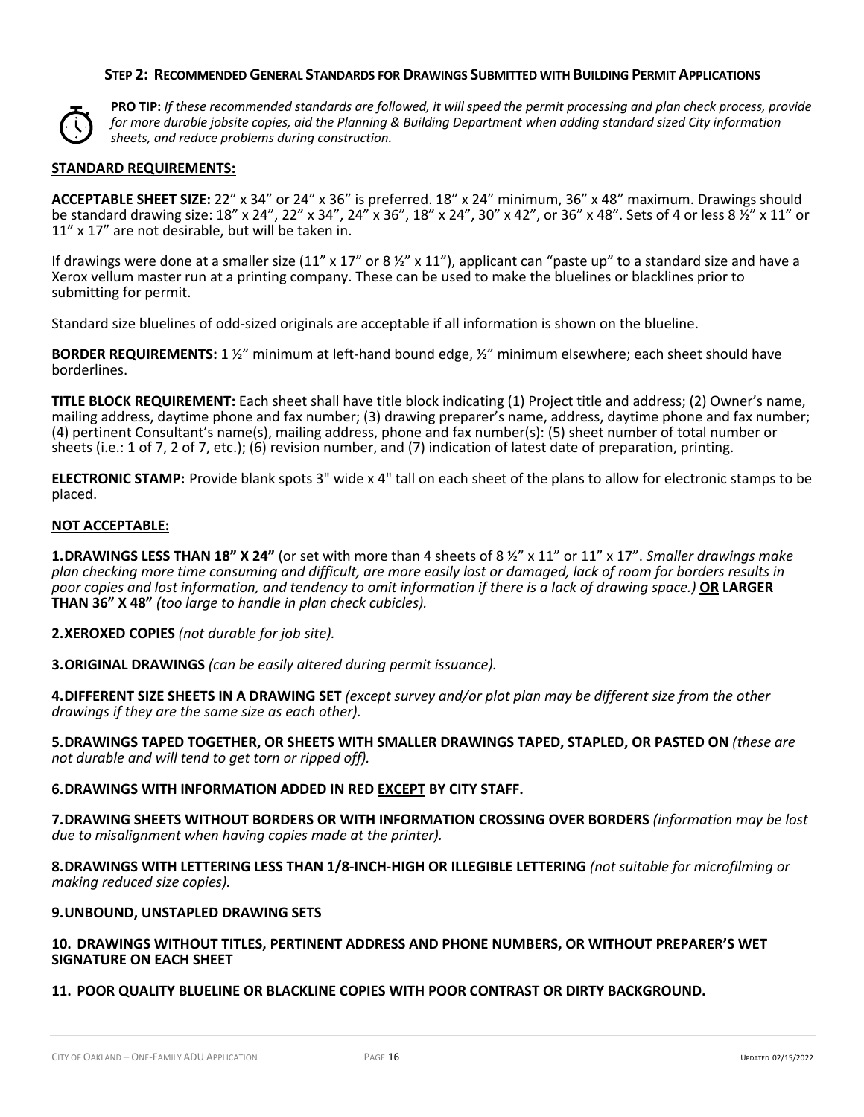#### **STEP 2: RECOMMENDED GENERAL STANDARDS FOR DRAWINGS SUBMITTED WITH BUILDING PERMIT APPLICATIONS**



**PRO TIP:** *If these recommended standards are followed, it will speed the permit processing and plan check process, provide for more durable jobsite copies, aid the Planning & Building Department when adding standard sized City information sheets, and reduce problems during construction.*

#### **STANDARD REQUIREMENTS:**

**ACCEPTABLE SHEET SIZE:** 22" x 34" or 24" x 36" is preferred. 18" x 24" minimum, 36" x 48" maximum. Drawings should be standard drawing size: 18" x 24", 22" x 34", 24" x 36", 18" x 24", 30" x 42", or 36" x 48". Sets of 4 or less 8 ½" x 11" or 11" x 17" are not desirable, but will be taken in.

If drawings were done at a smaller size (11" x 17" or 8  $\frac{1}{2}$ " x 11"), applicant can "paste up" to a standard size and have a Xerox vellum master run at a printing company. These can be used to make the bluelines or blacklines prior to submitting for permit.

Standard size bluelines of odd-sized originals are acceptable if all information is shown on the blueline.

**BORDER REQUIREMENTS:** 1 ½" minimum at left-hand bound edge, ½" minimum elsewhere; each sheet should have borderlines.

**TITLE BLOCK REQUIREMENT:** Each sheet shall have title block indicating (1) Project title and address; (2) Owner's name, mailing address, daytime phone and fax number; (3) drawing preparer's name, address, daytime phone and fax number; (4) pertinent Consultant's name(s), mailing address, phone and fax number(s): (5) sheet number of total number or sheets (i.e.: 1 of 7, 2 of 7, etc.); (6) revision number, and (7) indication of latest date of preparation, printing.

**ELECTRONIC STAMP:** Provide blank spots 3" wide x 4" tall on each sheet of the plans to allow for electronic stamps to be placed.

#### **NOT ACCEPTABLE:**

**1.DRAWINGS LESS THAN 18" X 24"** (or set with more than 4 sheets of 8 ½" x 11" or 11" x 17". *Smaller drawings make plan checking more time consuming and difficult, are more easily lost or damaged, lack of room for borders results in poor copies and lost information, and tendency to omit information if there is a lack of drawing space.)* **OR LARGER THAN 36" X 48"** *(too large to handle in plan check cubicles).* 

**2.XEROXED COPIES** *(not durable for job site).*

**3.ORIGINAL DRAWINGS** *(can be easily altered during permit issuance).*

**4.DIFFERENT SIZE SHEETS IN A DRAWING SET** *(except survey and/or plot plan may be different size from the other drawings if they are the same size as each other).*

**5.DRAWINGS TAPED TOGETHER, OR SHEETS WITH SMALLER DRAWINGS TAPED, STAPLED, OR PASTED ON** *(these are not durable and will tend to get torn or ripped off).*

#### **6.DRAWINGS WITH INFORMATION ADDED IN RED EXCEPT BY CITY STAFF.**

**7.DRAWING SHEETS WITHOUT BORDERS OR WITH INFORMATION CROSSING OVER BORDERS** *(information may be lost due to misalignment when having copies made at the printer).*

**8.DRAWINGS WITH LETTERING LESS THAN 1/8-INCH-HIGH OR ILLEGIBLE LETTERING** *(not suitable for microfilming or making reduced size copies).*

#### **9.UNBOUND, UNSTAPLED DRAWING SETS**

### **10. DRAWINGS WITHOUT TITLES, PERTINENT ADDRESS AND PHONE NUMBERS, OR WITHOUT PREPARER'S WET SIGNATURE ON EACH SHEET**

### **11. POOR QUALITY BLUELINE OR BLACKLINE COPIES WITH POOR CONTRAST OR DIRTY BACKGROUND.**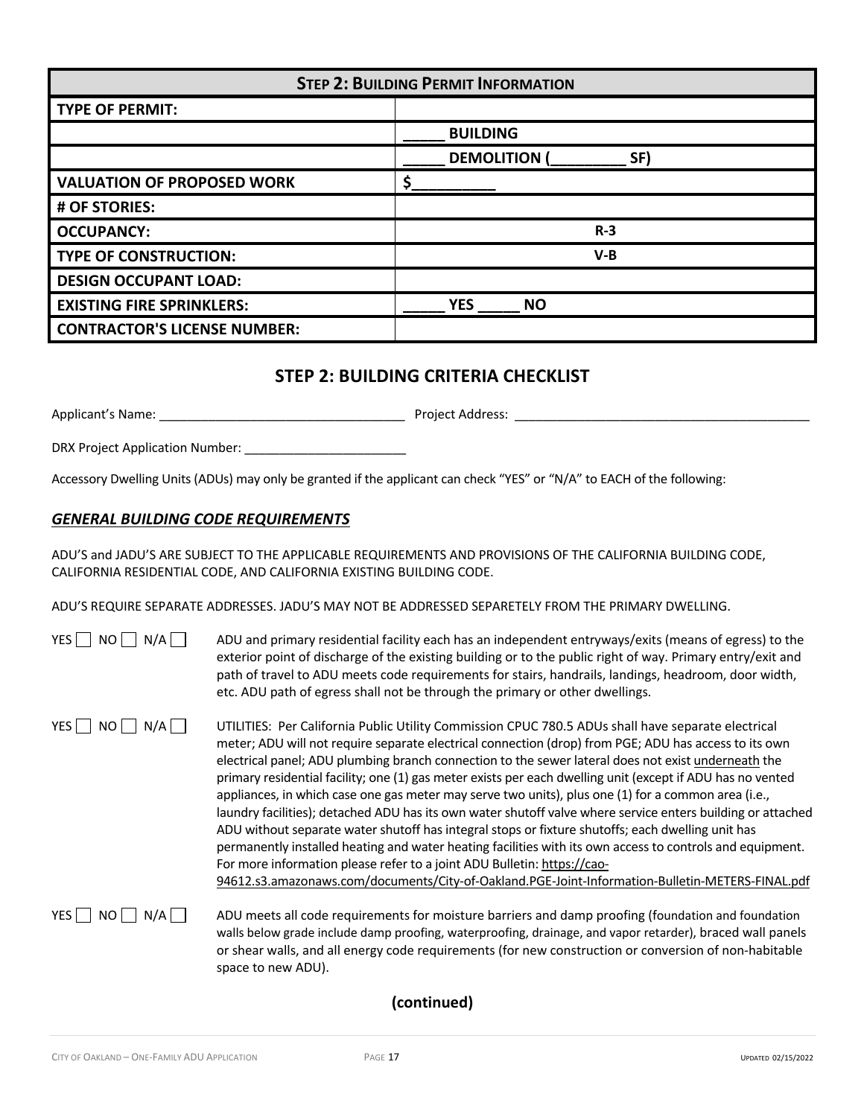| <b>STEP 2: BUILDING PERMIT INFORMATION</b> |                          |  |  |  |
|--------------------------------------------|--------------------------|--|--|--|
| <b>TYPE OF PERMIT:</b>                     |                          |  |  |  |
|                                            | <b>BUILDING</b>          |  |  |  |
|                                            | <b>DEMOLITION</b><br>SF) |  |  |  |
| <b>VALUATION OF PROPOSED WORK</b>          |                          |  |  |  |
| # OF STORIES:                              |                          |  |  |  |
| <b>OCCUPANCY:</b>                          | $R-3$                    |  |  |  |
| <b>TYPE OF CONSTRUCTION:</b>               | $V-B$                    |  |  |  |
| <b>DESIGN OCCUPANT LOAD:</b>               |                          |  |  |  |
| <b>EXISTING FIRE SPRINKLERS:</b>           | <b>YES</b><br><b>NO</b>  |  |  |  |
| <b>CONTRACTOR'S LICENSE NUMBER:</b>        |                          |  |  |  |

# **STEP 2: BUILDING CRITERIA CHECKLIST**

Applicant's Name: \_\_\_\_\_\_\_\_\_\_\_\_\_\_\_\_\_\_\_\_\_\_\_\_\_\_\_\_\_\_\_\_\_\_\_ Project Address: \_\_\_\_\_\_\_\_\_\_\_\_\_\_\_\_\_\_\_\_\_\_\_\_\_\_\_\_\_\_\_\_\_\_\_\_\_\_\_\_\_\_

DRX Project Application Number: \_\_\_\_\_\_\_\_\_\_\_\_\_\_\_\_\_\_\_\_\_\_\_

Accessory Dwelling Units (ADUs) may only be granted if the applicant can check "YES" or "N/A" to EACH of the following:

# *GENERAL BUILDING CODE REQUIREMENTS*

ADU'S and JADU'S ARE SUBJECT TO THE APPLICABLE REQUIREMENTS AND PROVISIONS OF THE CALIFORNIA BUILDING CODE, CALIFORNIA RESIDENTIAL CODE, AND CALIFORNIA EXISTING BUILDING CODE.

ADU'S REQUIRE SEPARATE ADDRESSES. JADU'S MAY NOT BE ADDRESSED SEPARETELY FROM THE PRIMARY DWELLING.

| N/A  <br>YES l<br>NO I | ADU and primary residential facility each has an independent entryways/exits (means of egress) to the<br>exterior point of discharge of the existing building or to the public right of way. Primary entry/exit and<br>path of travel to ADU meets code requirements for stairs, handrails, landings, headroom, door width,<br>etc. ADU path of egress shall not be through the primary or other dwellings.                                                                                                                                                                                                                                                                                                                                                                                                                                                                                                                                                                                                                                             |
|------------------------|---------------------------------------------------------------------------------------------------------------------------------------------------------------------------------------------------------------------------------------------------------------------------------------------------------------------------------------------------------------------------------------------------------------------------------------------------------------------------------------------------------------------------------------------------------------------------------------------------------------------------------------------------------------------------------------------------------------------------------------------------------------------------------------------------------------------------------------------------------------------------------------------------------------------------------------------------------------------------------------------------------------------------------------------------------|
| YES   NO    <br>N/A    | UTILITIES: Per California Public Utility Commission CPUC 780.5 ADUs shall have separate electrical<br>meter; ADU will not require separate electrical connection (drop) from PGE; ADU has access to its own<br>electrical panel; ADU plumbing branch connection to the sewer lateral does not exist underneath the<br>primary residential facility; one (1) gas meter exists per each dwelling unit (except if ADU has no vented<br>appliances, in which case one gas meter may serve two units), plus one (1) for a common area (i.e.,<br>laundry facilities); detached ADU has its own water shutoff valve where service enters building or attached<br>ADU without separate water shutoff has integral stops or fixture shutoffs; each dwelling unit has<br>permanently installed heating and water heating facilities with its own access to controls and equipment.<br>For more information please refer to a joint ADU Bulletin: https://cao-<br>94612.s3.amazonaws.com/documents/City-of-Oakland.PGE-Joint-Information-Bulletin-METERS-FINAL.pdf |
| $YES$ NO<br>N/All      | ADU meets all code requirements for moisture barriers and damp proofing (foundation and foundation<br>walls below grade include damp proofing, waterproofing, drainage, and vapor retarder), braced wall panels<br>or shear walls, and all energy code requirements (for new construction or conversion of non-habitable<br>space to new ADU).                                                                                                                                                                                                                                                                                                                                                                                                                                                                                                                                                                                                                                                                                                          |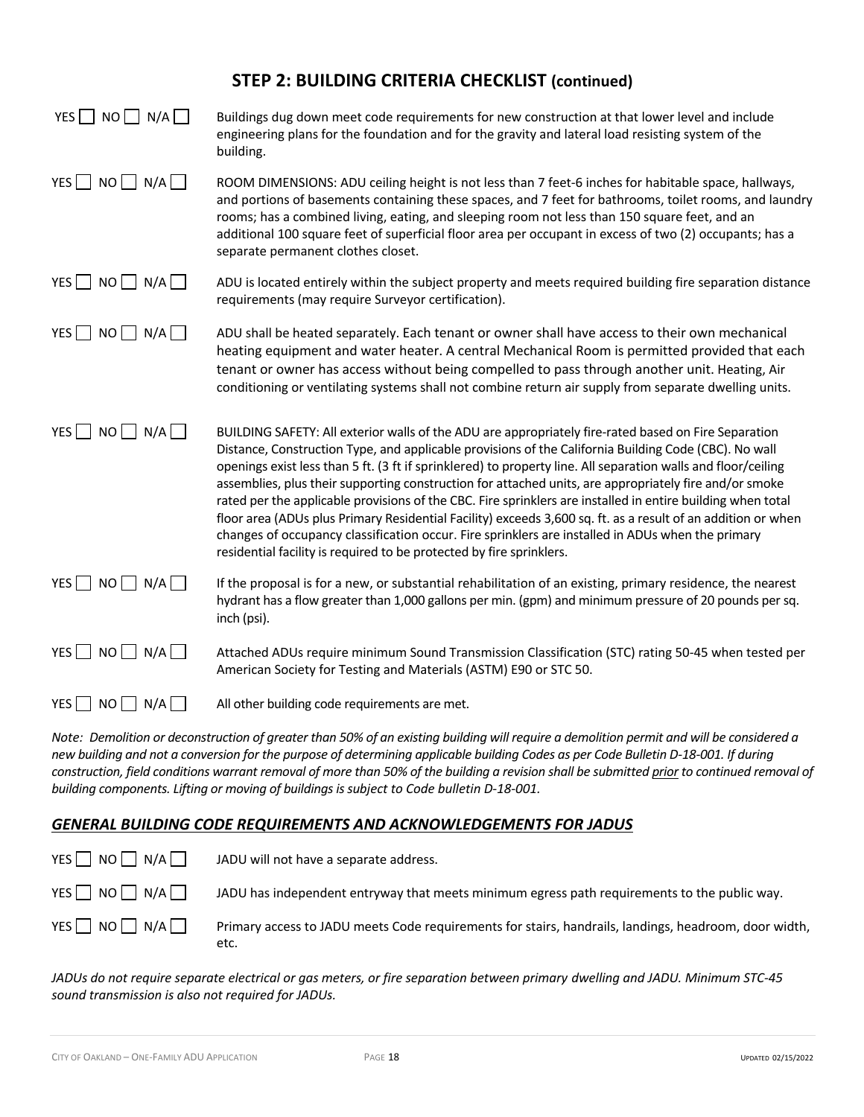# **STEP 2: BUILDING CRITERIA CHECKLIST (continued)**

| $YES$   NO   N/A                | Buildings dug down meet code requirements for new construction at that lower level and include<br>engineering plans for the foundation and for the gravity and lateral load resisting system of the<br>building.                                                                                                                                                                                                                                                                                                                                                                                                                                                                                                                                                                                                                                     |
|---------------------------------|------------------------------------------------------------------------------------------------------------------------------------------------------------------------------------------------------------------------------------------------------------------------------------------------------------------------------------------------------------------------------------------------------------------------------------------------------------------------------------------------------------------------------------------------------------------------------------------------------------------------------------------------------------------------------------------------------------------------------------------------------------------------------------------------------------------------------------------------------|
| YES $\Box$ NO $\Box$ N/A $\Box$ | ROOM DIMENSIONS: ADU ceiling height is not less than 7 feet-6 inches for habitable space, hallways,<br>and portions of basements containing these spaces, and 7 feet for bathrooms, toilet rooms, and laundry<br>rooms; has a combined living, eating, and sleeping room not less than 150 square feet, and an<br>additional 100 square feet of superficial floor area per occupant in excess of two (2) occupants; has a<br>separate permanent clothes closet.                                                                                                                                                                                                                                                                                                                                                                                      |
| YES $\Box$ NO $\Box$ N/A $\Box$ | ADU is located entirely within the subject property and meets required building fire separation distance<br>requirements (may require Surveyor certification).                                                                                                                                                                                                                                                                                                                                                                                                                                                                                                                                                                                                                                                                                       |
| $YES$ NO $N/A$                  | ADU shall be heated separately. Each tenant or owner shall have access to their own mechanical<br>heating equipment and water heater. A central Mechanical Room is permitted provided that each<br>tenant or owner has access without being compelled to pass through another unit. Heating, Air<br>conditioning or ventilating systems shall not combine return air supply from separate dwelling units.                                                                                                                                                                                                                                                                                                                                                                                                                                            |
| YES $\Box$ NO $\Box$ N/A $\Box$ | BUILDING SAFETY: All exterior walls of the ADU are appropriately fire-rated based on Fire Separation<br>Distance, Construction Type, and applicable provisions of the California Building Code (CBC). No wall<br>openings exist less than 5 ft. (3 ft if sprinklered) to property line. All separation walls and floor/ceiling<br>assemblies, plus their supporting construction for attached units, are appropriately fire and/or smoke<br>rated per the applicable provisions of the CBC. Fire sprinklers are installed in entire building when total<br>floor area (ADUs plus Primary Residential Facility) exceeds 3,600 sq. ft. as a result of an addition or when<br>changes of occupancy classification occur. Fire sprinklers are installed in ADUs when the primary<br>residential facility is required to be protected by fire sprinklers. |
| $NO$ $N/A$ $\Box$<br>YES $\Box$ | If the proposal is for a new, or substantial rehabilitation of an existing, primary residence, the nearest<br>hydrant has a flow greater than 1,000 gallons per min. (gpm) and minimum pressure of 20 pounds per sq.<br>inch (psi).                                                                                                                                                                                                                                                                                                                                                                                                                                                                                                                                                                                                                  |
| YES $\Box$ NO $\Box$ N/A $\Box$ | Attached ADUs require minimum Sound Transmission Classification (STC) rating 50-45 when tested per<br>American Society for Testing and Materials (ASTM) E90 or STC 50.                                                                                                                                                                                                                                                                                                                                                                                                                                                                                                                                                                                                                                                                               |
| YES     NO     N/A              | All other building code requirements are met.                                                                                                                                                                                                                                                                                                                                                                                                                                                                                                                                                                                                                                                                                                                                                                                                        |

*Note: Demolition or deconstruction of greater than 50% of an existing building will require a demolition permit and will be considered a new building and not a conversion for the purpose of determining applicable building Codes as per Code Bulletin D-18-001. If during construction, field conditions warrant removal of more than 50% of the building a revision shall be submitted prior to continued removal of building components. Lifting or moving of buildingsissubject to Code bulletin D-18-001.*

## *GENERAL BUILDING CODE REQUIREMENTS AND ACKNOWLEDGEMENTS FOR JADUS*

| $YES$ $NO$ $N/A$   | JADU will not have a separate address.                                                                        |
|--------------------|---------------------------------------------------------------------------------------------------------------|
| YES     NO     N/A | JADU has independent entryway that meets minimum egress path requirements to the public way.                  |
| $YES$ NO N/A       | Primary access to JADU meets Code requirements for stairs, handrails, landings, headroom, door width,<br>etc. |

*JADUs do not require separate electrical or gas meters, or fire separation between primary dwelling and JADU. Minimum STC-45 sound transmission is also not required for JADUs.*